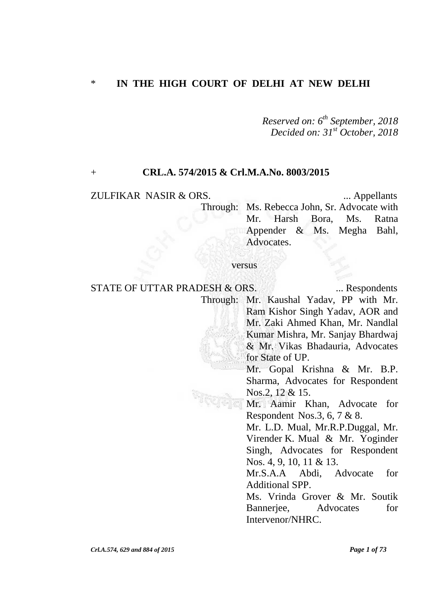### \* **IN THE HIGH COURT OF DELHI AT NEW DELHI**

*Reserved on: 6 th September, 2018 Decided on: 31st October, 2018*

### + **CRL.A. 574/2015 & Crl.M.A.No. 8003/2015**

### ZULFIKAR NASIR & ORS. ... Appellants

Through: Ms. Rebecca John, Sr. Advocate with Mr. Harsh Bora, Ms. Ratna Appender & Ms. Megha Bahl, Advocates.

### versus

STATE OF UTTAR PRADESH & ORS. ... Respondents Through: Mr. Kaushal Yadav, PP with Mr. Ram Kishor Singh Yadav, AOR and Mr. Zaki Ahmed Khan, Mr. Nandlal Kumar Mishra, Mr. Sanjay Bhardwaj & Mr. Vikas Bhadauria, Advocates for State of UP. Mr. Gopal Krishna & Mr. B.P. Sharma, Advocates for Respondent Nos.2, 12 & 15. Mr. Aamir Khan, Advocate for Respondent Nos.3, 6, 7 & 8. Mr. L.D. Mual, Mr.R.P.Duggal, Mr. Virender K. Mual & Mr. Yoginder Singh, Advocates for Respondent Nos. 4, 9, 10, 11 & 13. Mr.S.A.A Abdi, Advocate for Additional SPP. Ms. Vrinda Grover & Mr. Soutik Bannerjee, Advocates for Intervenor/NHRC.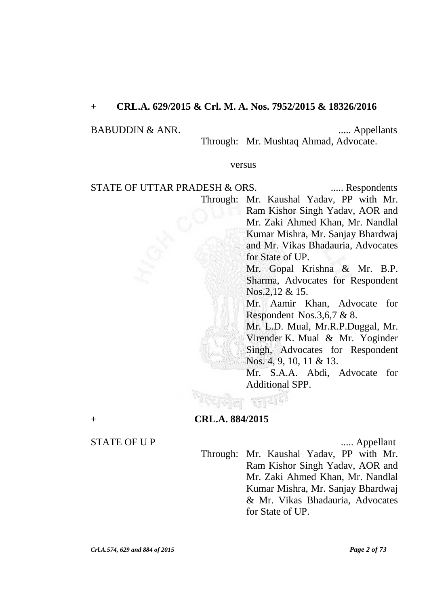## + **CRL.A. 629/2015 & Crl. M. A. Nos. 7952/2015 & 18326/2016**

### BABUDDIN & ANR. ..... Appellants

Through: Mr. Mushtaq Ahmad, Advocate.

### versus

STATE OF UTTAR PRADESH & ORS. ...... Respondents

Through: Mr. Kaushal Yadav, PP with Mr. Ram Kishor Singh Yadav, AOR and Mr. Zaki Ahmed Khan, Mr. Nandlal Kumar Mishra, Mr. Sanjay Bhardwaj and Mr. Vikas Bhadauria, Advocates for State of UP.

> Mr. Gopal Krishna & Mr. B.P. Sharma, Advocates for Respondent Nos.2,12 & 15.

> Mr. Aamir Khan, Advocate for Respondent Nos.3,6,7 & 8.

Mr. L.D. Mual, Mr.R.P.Duggal, Mr. Virender K. Mual & Mr. Yoginder Singh, Advocates for Respondent Nos. 4, 9, 10, 11 & 13.

Mr. S.A.A. Abdi, Advocate for Additional SPP.

+ **CRL.A. 884/2015**

### STATE OF U P ...... Appellant

Through: Mr. Kaushal Yadav, PP with Mr. Ram Kishor Singh Yadav, AOR and Mr. Zaki Ahmed Khan, Mr. Nandlal Kumar Mishra, Mr. Sanjay Bhardwaj & Mr. Vikas Bhadauria, Advocates for State of UP.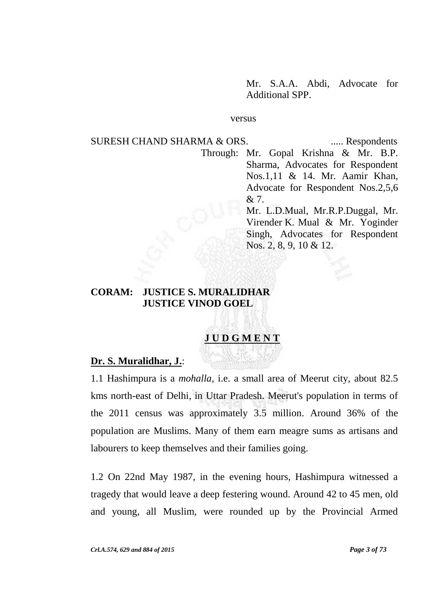Mr. S.A.A. Abdi, Advocate for Additional SPP.

#### versus

SURESH CHAND SHARMA & ORS. ...... Respondents Through: Mr. Gopal Krishna & Mr. B.P. Sharma, Advocates for Respondent Nos.1,11 & 14. Mr. Aamir Khan, Advocate for Respondent Nos.2,5,6 & 7. Mr. L.D.Mual, Mr.R.P.Duggal, Mr. Virender K. Mual & Mr. Yoginder Singh, Advocates for Respondent Nos. 2, 8, 9, 10 & 12.

## **CORAM: JUSTICE S. MURALIDHAR JUSTICE VINOD GOEL**

# **J U D G M E N T**

### **Dr. S. Muralidhar, J.**:

1.1 Hashimpura is a *mohalla*, i.e. a small area of Meerut city, about 82.5 kms north-east of Delhi, in Uttar Pradesh. Meerut's population in terms of the 2011 census was approximately 3.5 million. Around 36% of the population are Muslims. Many of them earn meagre sums as artisans and labourers to keep themselves and their families going.

1.2 On 22nd May 1987, in the evening hours, Hashimpura witnessed a tragedy that would leave a deep festering wound. Around 42 to 45 men, old and young, all Muslim, were rounded up by the Provincial Armed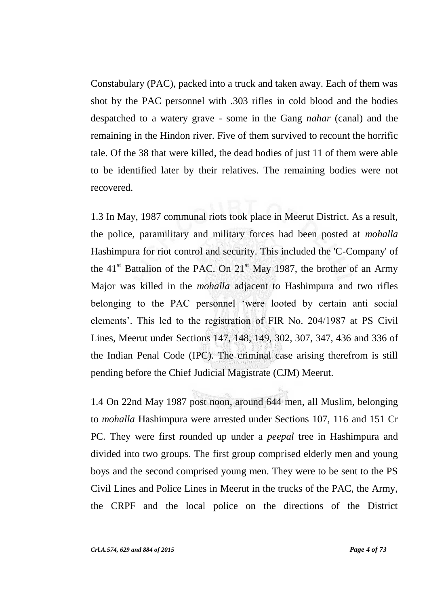Constabulary (PAC), packed into a truck and taken away. Each of them was shot by the PAC personnel with .303 rifles in cold blood and the bodies despatched to a watery grave - some in the Gang *nahar* (canal) and the remaining in the Hindon river. Five of them survived to recount the horrific tale. Of the 38 that were killed, the dead bodies of just 11 of them were able to be identified later by their relatives. The remaining bodies were not recovered.

1.3 In May, 1987 communal riots took place in Meerut District. As a result, the police, paramilitary and military forces had been posted at *mohalla* Hashimpura for riot control and security. This included the 'C-Company' of the  $41<sup>st</sup>$  Battalion of the PAC. On  $21<sup>st</sup>$  May 1987, the brother of an Army Major was killed in the *mohalla* adjacent to Hashimpura and two rifles belonging to the PAC personnel "were looted by certain anti social elements". This led to the registration of FIR No. 204/1987 at PS Civil Lines, Meerut under Sections 147, 148, 149, 302, 307, 347, 436 and 336 of the Indian Penal Code (IPC). The criminal case arising therefrom is still pending before the Chief Judicial Magistrate (CJM) Meerut.

1.4 On 22nd May 1987 post noon, around 644 men, all Muslim, belonging to *mohalla* Hashimpura were arrested under Sections 107, 116 and 151 Cr PC. They were first rounded up under a *peepal* tree in Hashimpura and divided into two groups. The first group comprised elderly men and young boys and the second comprised young men. They were to be sent to the PS Civil Lines and Police Lines in Meerut in the trucks of the PAC, the Army, the CRPF and the local police on the directions of the District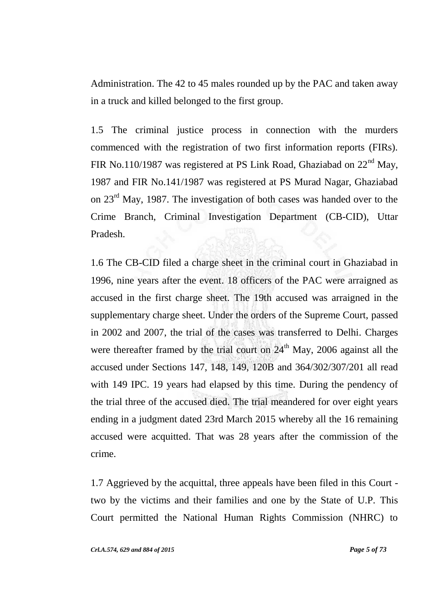Administration. The 42 to 45 males rounded up by the PAC and taken away in a truck and killed belonged to the first group.

1.5 The criminal justice process in connection with the murders commenced with the registration of two first information reports (FIRs). FIR No.110/1987 was registered at PS Link Road, Ghaziabad on  $22<sup>nd</sup>$  May, 1987 and FIR No.141/1987 was registered at PS Murad Nagar, Ghaziabad on 23rd May, 1987. The investigation of both cases was handed over to the Crime Branch, Criminal Investigation Department (CB-CID), Uttar Pradesh.

1.6 The CB-CID filed a charge sheet in the criminal court in Ghaziabad in 1996, nine years after the event. 18 officers of the PAC were arraigned as accused in the first charge sheet. The 19th accused was arraigned in the supplementary charge sheet. Under the orders of the Supreme Court, passed in 2002 and 2007, the trial of the cases was transferred to Delhi. Charges were thereafter framed by the trial court on  $24<sup>th</sup>$  May, 2006 against all the accused under Sections 147, 148, 149, 120B and 364/302/307/201 all read with 149 IPC. 19 years had elapsed by this time. During the pendency of the trial three of the accused died. The trial meandered for over eight years ending in a judgment dated 23rd March 2015 whereby all the 16 remaining accused were acquitted. That was 28 years after the commission of the crime.

1.7 Aggrieved by the acquittal, three appeals have been filed in this Court two by the victims and their families and one by the State of U.P. This Court permitted the National Human Rights Commission (NHRC) to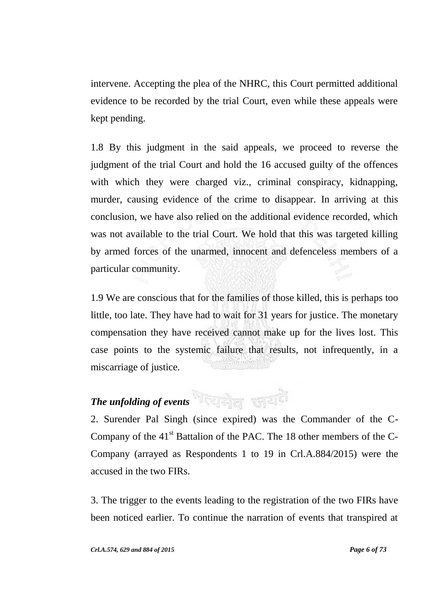intervene. Accepting the plea of the NHRC, this Court permitted additional evidence to be recorded by the trial Court, even while these appeals were kept pending.

1.8 By this judgment in the said appeals, we proceed to reverse the judgment of the trial Court and hold the 16 accused guilty of the offences with which they were charged viz., criminal conspiracy, kidnapping, murder, causing evidence of the crime to disappear. In arriving at this conclusion, we have also relied on the additional evidence recorded, which was not available to the trial Court. We hold that this was targeted killing by armed forces of the unarmed, innocent and defenceless members of a particular community.

1.9 We are conscious that for the families of those killed, this is perhaps too little, too late. They have had to wait for 31 years for justice. The monetary compensation they have received cannot make up for the lives lost. This case points to the systemic failure that results, not infrequently, in a miscarriage of justice.

# *The unfolding of events*

2. Surender Pal Singh (since expired) was the Commander of the C-Company of the  $41<sup>st</sup>$  Battalion of the PAC. The 18 other members of the C-Company (arrayed as Respondents 1 to 19 in Crl.A.884/2015) were the accused in the two FIRs.

3. The trigger to the events leading to the registration of the two FIRs have been noticed earlier. To continue the narration of events that transpired at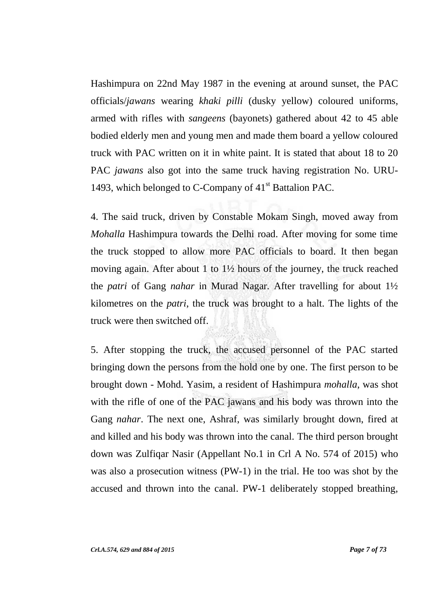Hashimpura on 22nd May 1987 in the evening at around sunset, the PAC officials/*jawans* wearing *khaki pilli* (dusky yellow) coloured uniforms, armed with rifles with *sangeens* (bayonets) gathered about 42 to 45 able bodied elderly men and young men and made them board a yellow coloured truck with PAC written on it in white paint. It is stated that about 18 to 20 PAC *jawans* also got into the same truck having registration No. URU-1493, which belonged to C-Company of  $41<sup>st</sup>$  Battalion PAC.

4. The said truck, driven by Constable Mokam Singh, moved away from *Mohalla* Hashimpura towards the Delhi road. After moving for some time the truck stopped to allow more PAC officials to board. It then began moving again. After about 1 to 1½ hours of the journey, the truck reached the *patri* of Gang *nahar* in Murad Nagar. After travelling for about 1½ kilometres on the *patri*, the truck was brought to a halt. The lights of the truck were then switched off.

5. After stopping the truck, the accused personnel of the PAC started bringing down the persons from the hold one by one. The first person to be brought down - Mohd. Yasim, a resident of Hashimpura *mohalla*, was shot with the rifle of one of the PAC jawans and his body was thrown into the Gang *nahar*. The next one, Ashraf, was similarly brought down, fired at and killed and his body was thrown into the canal. The third person brought down was Zulfiqar Nasir (Appellant No.1 in Crl A No. 574 of 2015) who was also a prosecution witness (PW-1) in the trial. He too was shot by the accused and thrown into the canal. PW-1 deliberately stopped breathing,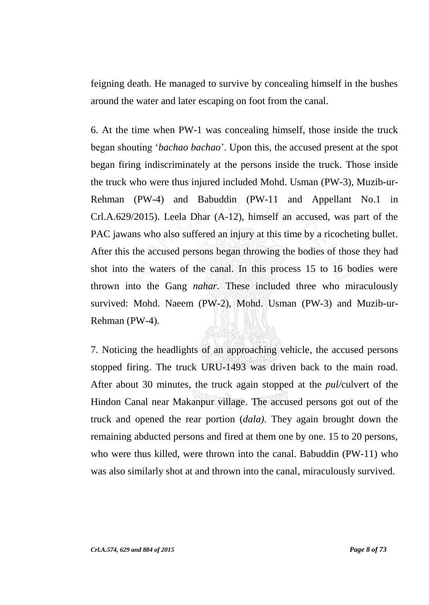feigning death. He managed to survive by concealing himself in the bushes around the water and later escaping on foot from the canal.

6. At the time when PW-1 was concealing himself, those inside the truck began shouting "*bachao bachao*". Upon this, the accused present at the spot began firing indiscriminately at the persons inside the truck. Those inside the truck who were thus injured included Mohd. Usman (PW-3), Muzib-ur-Rehman (PW-4) and Babuddin (PW-11 and Appellant No.1 in Crl.A.629/2015). Leela Dhar (A-12), himself an accused, was part of the PAC jawans who also suffered an injury at this time by a ricocheting bullet. After this the accused persons began throwing the bodies of those they had shot into the waters of the canal. In this process 15 to 16 bodies were thrown into the Gang *nahar.* These included three who miraculously survived: Mohd. Naeem (PW-2), Mohd. Usman (PW-3) and Muzib-ur-Rehman (PW-4).

7. Noticing the headlights of an approaching vehicle, the accused persons stopped firing. The truck URU-1493 was driven back to the main road. After about 30 minutes, the truck again stopped at the *pul/*culvert of the Hindon Canal near Makanpur village. The accused persons got out of the truck and opened the rear portion (*dala)*. They again brought down the remaining abducted persons and fired at them one by one. 15 to 20 persons, who were thus killed, were thrown into the canal. Babuddin (PW-11) who was also similarly shot at and thrown into the canal, miraculously survived.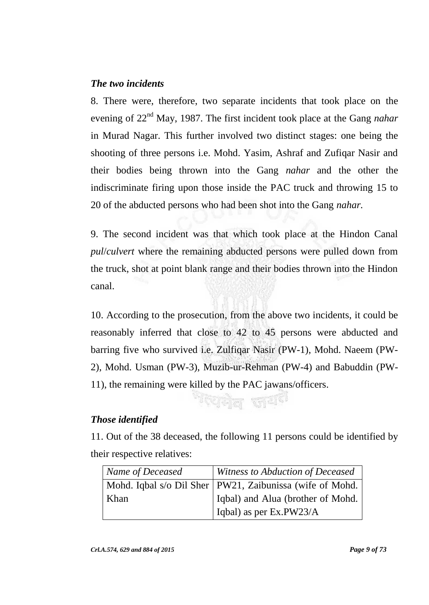## *The two incidents*

8. There were, therefore, two separate incidents that took place on the evening of 22nd May, 1987. The first incident took place at the Gang *nahar* in Murad Nagar. This further involved two distinct stages: one being the shooting of three persons i.e. Mohd. Yasim, Ashraf and Zufiqar Nasir and their bodies being thrown into the Gang *nahar* and the other the indiscriminate firing upon those inside the PAC truck and throwing 15 to 20 of the abducted persons who had been shot into the Gang *nahar.* 

9. The second incident was that which took place at the Hindon Canal *pul*/*culvert* where the remaining abducted persons were pulled down from the truck, shot at point blank range and their bodies thrown into the Hindon canal.

10. According to the prosecution, from the above two incidents, it could be reasonably inferred that close to 42 to 45 persons were abducted and barring five who survived i.e. Zulfiqar Nasir (PW-1), Mohd. Naeem (PW-2), Mohd. Usman (PW-3), Muzib-ur-Rehman (PW-4) and Babuddin (PW-11), the remaining were killed by the PAC jawans/officers.

## *Those identified*

11. Out of the 38 deceased, the following 11 persons could be identified by their respective relatives:

<sup>त्</sup>पनेत लय<sup>हा</sup>

| Name of Deceased | Witness to Abduction of Deceased                           |
|------------------|------------------------------------------------------------|
|                  | Mohd. Iqbal s/o Dil Sher   PW21, Zaibunissa (wife of Mohd. |
| Khan             | Iqbal) and Alua (brother of Mohd.                          |
|                  | Iqbal) as per Ex.PW23/A                                    |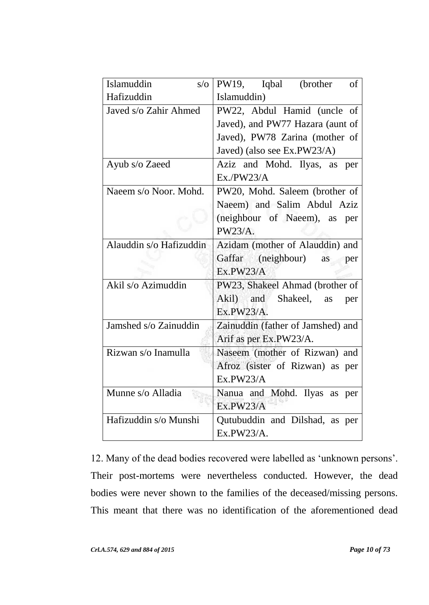| Islamuddin<br>$s/\sigma$ | PW19, Iqbal (brother<br>of        |
|--------------------------|-----------------------------------|
| Hafizuddin               | Islamuddin)                       |
| Javed s/o Zahir Ahmed    | PW22, Abdul Hamid (uncle of       |
|                          | Javed), and PW77 Hazara (aunt of  |
|                          | Javed), PW78 Zarina (mother of    |
|                          | Javed) (also see Ex.PW23/A)       |
| Ayub s/o Zaeed           | Aziz and Mohd. Ilyas, as<br>per   |
|                          | Ex./PW23/A                        |
| Naeem s/o Noor. Mohd.    | PW20, Mohd. Saleem (brother of    |
|                          | Naeem) and Salim Abdul Aziz       |
|                          | (neighbour of Naeem), as per      |
|                          | PW23/A.                           |
| Alauddin s/o Hafizuddin  | Azidam (mother of Alauddin) and   |
|                          | Gaffar (neighbour)<br>as<br>per   |
|                          | Ex.PW23/A                         |
| Akil s/o Azimuddin       | PW23, Shakeel Ahmad (brother of   |
|                          | Akil) and Shakeel,<br>as<br>per   |
|                          | Ex.PW23/A.                        |
| Jamshed s/o Zainuddin    | Zainuddin (father of Jamshed) and |
|                          | Arif as per Ex.PW23/A.            |
| Rizwan s/o Inamulla      | Naseem (mother of Rizwan) and     |
|                          | Afroz (sister of Rizwan) as per   |
|                          | Ex.PW23/A                         |
| Munne s/o Alladia        | Nanua and Mohd. Ilyas as per      |
|                          | Ex.PW23/A                         |
| Hafizuddin s/o Munshi    | Qutubuddin and Dilshad, as per    |
|                          | Ex.PW23/A.                        |

12. Many of the dead bodies recovered were labelled as "unknown persons". Their post-mortems were nevertheless conducted. However, the dead bodies were never shown to the families of the deceased/missing persons. This meant that there was no identification of the aforementioned dead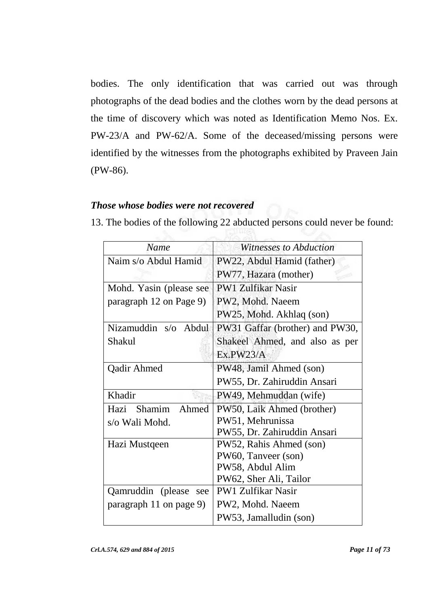bodies. The only identification that was carried out was through photographs of the dead bodies and the clothes worn by the dead persons at the time of discovery which was noted as Identification Memo Nos. Ex. PW-23/A and PW-62/A. Some of the deceased/missing persons were identified by the witnesses from the photographs exhibited by Praveen Jain (PW-86).

## *Those whose bodies were not recovered*

13. The bodies of the following 22 abducted persons could never be found:

| <b>Name</b>                    | Witnesses to Abduction          |
|--------------------------------|---------------------------------|
| Naim s/o Abdul Hamid           | PW22, Abdul Hamid (father)      |
|                                | PW77, Hazara (mother)           |
| Mohd. Yasin (please see        | <b>PW1 Zulfikar Nasir</b>       |
| paragraph 12 on Page 9)        | PW2, Mohd. Naeem                |
|                                | PW25, Mohd. Akhlaq (son)        |
| Nizamuddin s/o Abdul           | PW31 Gaffar (brother) and PW30, |
| Shakul                         | Shakeel Ahmed, and also as per  |
|                                | Ex.PW23/A                       |
| Qadir Ahmed                    | PW48, Jamil Ahmed (son)         |
|                                | PW55, Dr. Zahiruddin Ansari     |
| Khadir                         | PW49, Mehmuddan (wife)          |
| <b>Shamim</b><br>Hazi<br>Ahmed | PW50, Laik Ahmed (brother)      |
| s/o Wali Mohd.                 | PW51, Mehrunissa                |
|                                | PW55, Dr. Zahiruddin Ansari     |
| Hazi Mustqeen                  | PW52, Rahis Ahmed (son)         |
|                                | PW60, Tanveer (son)             |
|                                | PW58, Abdul Alim                |
|                                | PW62, Sher Ali, Tailor          |
| Qamruddin (please<br>see       | <b>PW1 Zulfikar Nasir</b>       |
| paragraph 11 on page 9)        | PW2, Mohd. Naeem                |
|                                | PW53, Jamalludin (son)          |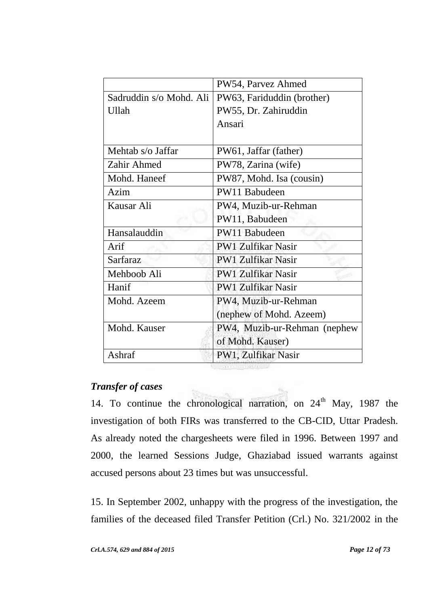|                         | PW54, Parvez Ahmed           |
|-------------------------|------------------------------|
| Sadruddin s/o Mohd. Ali | PW63, Fariduddin (brother)   |
| Ullah                   | PW55, Dr. Zahiruddin         |
|                         | Ansari                       |
|                         |                              |
| Mehtab s/o Jaffar       | PW61, Jaffar (father)        |
| Zahir Ahmed             | PW78, Zarina (wife)          |
| Mohd. Haneef            | PW87, Mohd. Isa (cousin)     |
| Azim                    | PW11 Babudeen                |
| Kausar Ali              | PW4, Muzib-ur-Rehman         |
|                         | PW11, Babudeen               |
| Hansalauddin            | PW11 Babudeen                |
| Arif                    | <b>PW1 Zulfikar Nasir</b>    |
| Sarfaraz                | <b>PW1 Zulfikar Nasir</b>    |
| Mehboob Ali             | <b>PW1 Zulfikar Nasir</b>    |
| Hanif                   | <b>PW1 Zulfikar Nasir</b>    |
| Mohd. Azeem             | PW4, Muzib-ur-Rehman         |
|                         | (nephew of Mohd. Azeem)      |
| Mohd. Kauser            | PW4, Muzib-ur-Rehman (nephew |
|                         | of Mohd. Kauser)             |
| Ashraf                  | PW1, Zulfikar Nasir          |
|                         |                              |

## *Transfer of cases*

14. To continue the chronological narration, on  $24<sup>th</sup>$  May, 1987 the investigation of both FIRs was transferred to the CB-CID, Uttar Pradesh. As already noted the chargesheets were filed in 1996. Between 1997 and 2000, the learned Sessions Judge, Ghaziabad issued warrants against accused persons about 23 times but was unsuccessful.

15. In September 2002, unhappy with the progress of the investigation, the families of the deceased filed Transfer Petition (Crl.) No. 321/2002 in the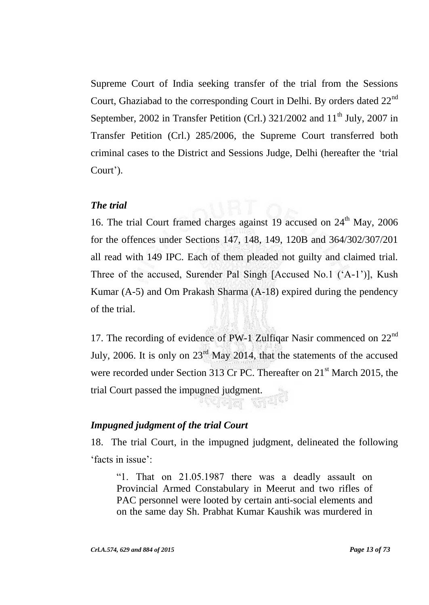Supreme Court of India seeking transfer of the trial from the Sessions Court, Ghaziabad to the corresponding Court in Delhi. By orders dated  $22<sup>nd</sup>$ September, 2002 in Transfer Petition (Crl.)  $321/2002$  and  $11<sup>th</sup>$  July, 2007 in Transfer Petition (Crl.) 285/2006, the Supreme Court transferred both criminal cases to the District and Sessions Judge, Delhi (hereafter the "trial Court').

## *The trial*

16. The trial Court framed charges against 19 accused on  $24<sup>th</sup>$  May, 2006 for the offences under Sections 147, 148, 149, 120B and 364/302/307/201 all read with 149 IPC. Each of them pleaded not guilty and claimed trial. Three of the accused, Surender Pal Singh [Accused No.1 ("A-1")], Kush Kumar (A-5) and Om Prakash Sharma (A-18) expired during the pendency of the trial.

17. The recording of evidence of PW-1 Zulfiqar Nasir commenced on  $22<sup>nd</sup>$ July, 2006. It is only on  $23<sup>rd</sup>$  May 2014, that the statements of the accused were recorded under Section 313 Cr PC. Thereafter on 21<sup>st</sup> March 2015, the trial Court passed the impugned judgment.

## *Impugned judgment of the trial Court*

18. The trial Court, in the impugned judgment, delineated the following 'facts in issue':

"1. That on 21.05.1987 there was a deadly assault on Provincial Armed Constabulary in Meerut and two rifles of PAC personnel were looted by certain anti-social elements and on the same day Sh. Prabhat Kumar Kaushik was murdered in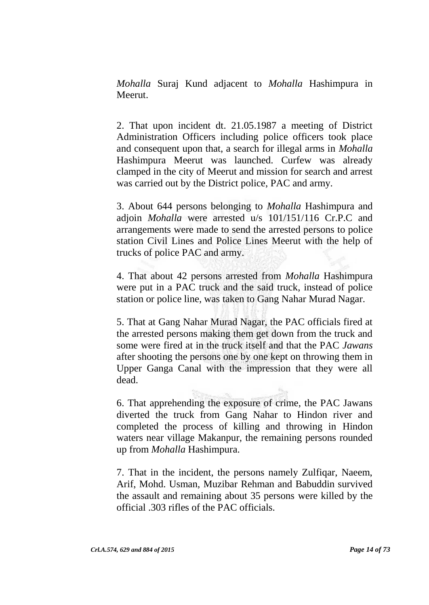*Mohalla* Suraj Kund adjacent to *Mohalla* Hashimpura in Meerut.

2. That upon incident dt. 21.05.1987 a meeting of District Administration Officers including police officers took place and consequent upon that, a search for illegal arms in *Mohalla*  Hashimpura Meerut was launched. Curfew was already clamped in the city of Meerut and mission for search and arrest was carried out by the District police, PAC and army.

3. About 644 persons belonging to *Mohalla* Hashimpura and adjoin *Mohalla* were arrested u/s 101/151/116 Cr.P.C and arrangements were made to send the arrested persons to police station Civil Lines and Police Lines Meerut with the help of trucks of police PAC and army.

4. That about 42 persons arrested from *Mohalla* Hashimpura were put in a PAC truck and the said truck, instead of police station or police line, was taken to Gang Nahar Murad Nagar.

5. That at Gang Nahar Murad Nagar, the PAC officials fired at the arrested persons making them get down from the truck and some were fired at in the truck itself and that the PAC *Jawans*  after shooting the persons one by one kept on throwing them in Upper Ganga Canal with the impression that they were all dead.

6. That apprehending the exposure of crime, the PAC Jawans diverted the truck from Gang Nahar to Hindon river and completed the process of killing and throwing in Hindon waters near village Makanpur, the remaining persons rounded up from *Mohalla* Hashimpura.

7. That in the incident, the persons namely Zulfiqar, Naeem, Arif, Mohd. Usman, Muzibar Rehman and Babuddin survived the assault and remaining about 35 persons were killed by the official .303 rifles of the PAC officials.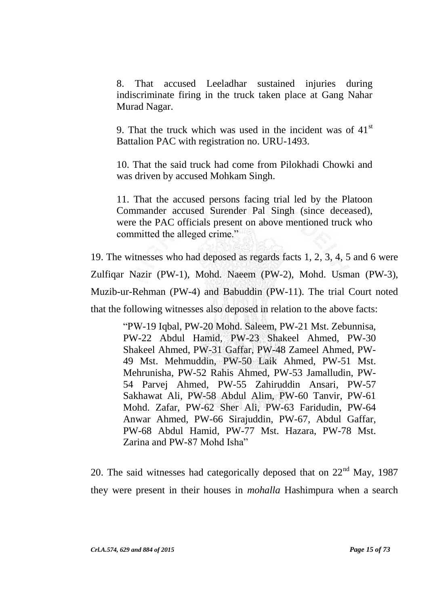8. That accused Leeladhar sustained injuries during indiscriminate firing in the truck taken place at Gang Nahar Murad Nagar.

9. That the truck which was used in the incident was of  $41<sup>st</sup>$ Battalion PAC with registration no. URU-1493.

10. That the said truck had come from Pilokhadi Chowki and was driven by accused Mohkam Singh.

11. That the accused persons facing trial led by the Platoon Commander accused Surender Pal Singh (since deceased), were the PAC officials present on above mentioned truck who committed the alleged crime."

19. The witnesses who had deposed as regards facts 1, 2, 3, 4, 5 and 6 were Zulfiqar Nazir (PW-1), Mohd. Naeem (PW-2), Mohd. Usman (PW-3), Muzib-ur-Rehman (PW-4) and Babuddin (PW-11). The trial Court noted that the following witnesses also deposed in relation to the above facts:

> "PW-19 Iqbal, PW-20 Mohd. Saleem, PW-21 Mst. Zebunnisa, PW-22 Abdul Hamid, PW-23 Shakeel Ahmed, PW-30 Shakeel Ahmed, PW-31 Gaffar, PW-48 Zameel Ahmed, PW-49 Mst. Mehmuddin, PW-50 Laik Ahmed, PW-51 Mst. Mehrunisha, PW-52 Rahis Ahmed, PW-53 Jamalludin, PW-54 Parvej Ahmed, PW-55 Zahiruddin Ansari, PW-57 Sakhawat Ali, PW-58 Abdul Alim, PW-60 Tanvir, PW-61 Mohd. Zafar, PW-62 Sher Ali, PW-63 Faridudin, PW-64 Anwar Ahmed, PW-66 Sirajuddin, PW-67, Abdul Gaffar, PW-68 Abdul Hamid, PW-77 Mst. Hazara, PW-78 Mst. Zarina and PW-87 Mohd Isha"

20. The said witnesses had categorically deposed that on  $22<sup>nd</sup>$  May, 1987 they were present in their houses in *mohalla* Hashimpura when a search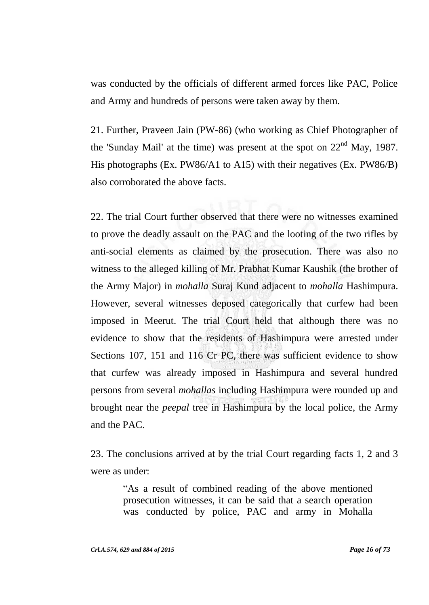was conducted by the officials of different armed forces like PAC, Police and Army and hundreds of persons were taken away by them.

21. Further, Praveen Jain (PW-86) (who working as Chief Photographer of the 'Sunday Mail' at the time) was present at the spot on  $22<sup>nd</sup>$  May, 1987. His photographs (Ex. PW86/A1 to A15) with their negatives (Ex. PW86/B) also corroborated the above facts.

22. The trial Court further observed that there were no witnesses examined to prove the deadly assault on the PAC and the looting of the two rifles by anti-social elements as claimed by the prosecution. There was also no witness to the alleged killing of Mr. Prabhat Kumar Kaushik (the brother of the Army Major) in *mohalla* Suraj Kund adjacent to *mohalla* Hashimpura. However, several witnesses deposed categorically that curfew had been imposed in Meerut. The trial Court held that although there was no evidence to show that the residents of Hashimpura were arrested under Sections 107, 151 and 116 Cr PC, there was sufficient evidence to show that curfew was already imposed in Hashimpura and several hundred persons from several *mohallas* including Hashimpura were rounded up and brought near the *peepal* tree in Hashimpura by the local police, the Army and the PAC.

23. The conclusions arrived at by the trial Court regarding facts 1, 2 and 3 were as under:

> "As a result of combined reading of the above mentioned prosecution witnesses, it can be said that a search operation was conducted by police, PAC and army in Mohalla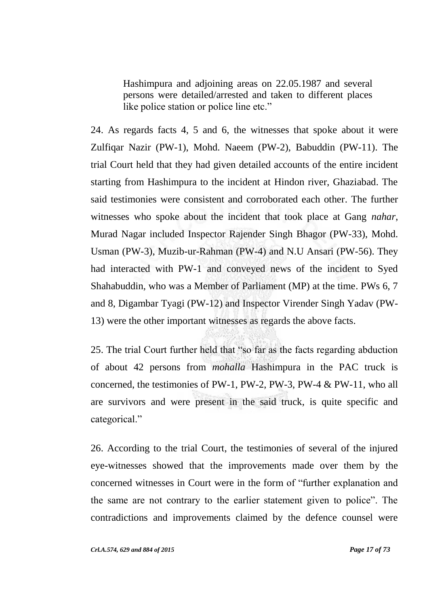Hashimpura and adjoining areas on 22.05.1987 and several persons were detailed/arrested and taken to different places like police station or police line etc."

24. As regards facts 4, 5 and 6, the witnesses that spoke about it were Zulfiqar Nazir (PW-1), Mohd. Naeem (PW-2), Babuddin (PW-11). The trial Court held that they had given detailed accounts of the entire incident starting from Hashimpura to the incident at Hindon river, Ghaziabad. The said testimonies were consistent and corroborated each other. The further witnesses who spoke about the incident that took place at Gang *nahar*, Murad Nagar included Inspector Rajender Singh Bhagor (PW-33), Mohd. Usman (PW-3), Muzib-ur-Rahman (PW-4) and N.U Ansari (PW-56). They had interacted with PW-1 and conveyed news of the incident to Syed Shahabuddin, who was a Member of Parliament (MP) at the time. PWs 6, 7 and 8, Digambar Tyagi (PW-12) and Inspector Virender Singh Yadav (PW-13) were the other important witnesses as regards the above facts.

25. The trial Court further held that "so far as the facts regarding abduction of about 42 persons from *mohalla* Hashimpura in the PAC truck is concerned, the testimonies of PW-1, PW-2, PW-3, PW-4 & PW-11, who all are survivors and were present in the said truck, is quite specific and categorical."

26. According to the trial Court, the testimonies of several of the injured eye-witnesses showed that the improvements made over them by the concerned witnesses in Court were in the form of "further explanation and the same are not contrary to the earlier statement given to police". The contradictions and improvements claimed by the defence counsel were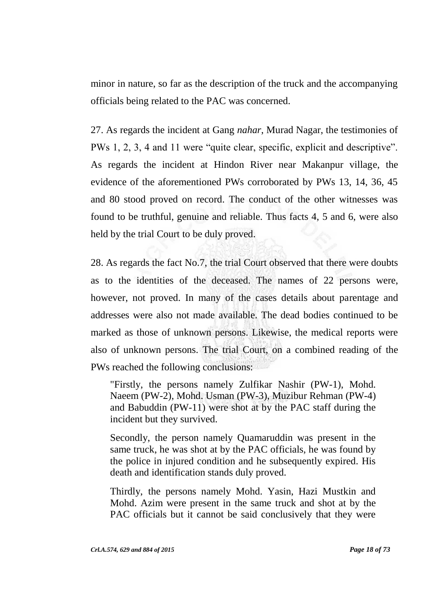minor in nature, so far as the description of the truck and the accompanying officials being related to the PAC was concerned.

27. As regards the incident at Gang *nahar*, Murad Nagar, the testimonies of PWs 1, 2, 3, 4 and 11 were "quite clear, specific, explicit and descriptive". As regards the incident at Hindon River near Makanpur village, the evidence of the aforementioned PWs corroborated by PWs 13, 14, 36, 45 and 80 stood proved on record. The conduct of the other witnesses was found to be truthful, genuine and reliable. Thus facts 4, 5 and 6, were also held by the trial Court to be duly proved.

28. As regards the fact No.7, the trial Court observed that there were doubts as to the identities of the deceased. The names of 22 persons were, however, not proved. In many of the cases details about parentage and addresses were also not made available. The dead bodies continued to be marked as those of unknown persons. Likewise, the medical reports were also of unknown persons. The trial Court, on a combined reading of the PWs reached the following conclusions:

"Firstly, the persons namely Zulfikar Nashir (PW-1), Mohd. Naeem (PW-2), Mohd. Usman (PW-3), Muzibur Rehman (PW-4) and Babuddin (PW-11) were shot at by the PAC staff during the incident but they survived.

Secondly, the person namely Quamaruddin was present in the same truck, he was shot at by the PAC officials, he was found by the police in injured condition and he subsequently expired. His death and identification stands duly proved.

Thirdly, the persons namely Mohd. Yasin, Hazi Mustkin and Mohd. Azim were present in the same truck and shot at by the PAC officials but it cannot be said conclusively that they were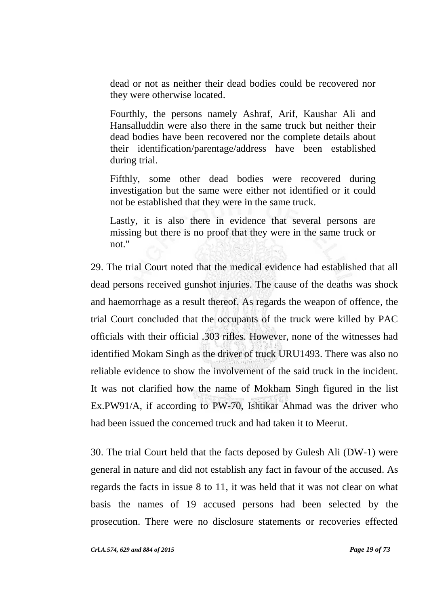dead or not as neither their dead bodies could be recovered nor they were otherwise located.

Fourthly, the persons namely Ashraf, Arif, Kaushar Ali and Hansalluddin were also there in the same truck but neither their dead bodies have been recovered nor the complete details about their identification/parentage/address have been established during trial.

Fifthly, some other dead bodies were recovered during investigation but the same were either not identified or it could not be established that they were in the same truck.

Lastly, it is also there in evidence that several persons are missing but there is no proof that they were in the same truck or not."

29. The trial Court noted that the medical evidence had established that all dead persons received gunshot injuries. The cause of the deaths was shock and haemorrhage as a result thereof. As regards the weapon of offence, the trial Court concluded that the occupants of the truck were killed by PAC officials with their official .303 rifles. However, none of the witnesses had identified Mokam Singh as the driver of truck URU1493. There was also no reliable evidence to show the involvement of the said truck in the incident. It was not clarified how the name of Mokham Singh figured in the list Ex.PW91/A, if according to PW-70, Ishtikar Ahmad was the driver who had been issued the concerned truck and had taken it to Meerut.

30. The trial Court held that the facts deposed by Gulesh Ali (DW-1) were general in nature and did not establish any fact in favour of the accused. As regards the facts in issue 8 to 11, it was held that it was not clear on what basis the names of 19 accused persons had been selected by the prosecution. There were no disclosure statements or recoveries effected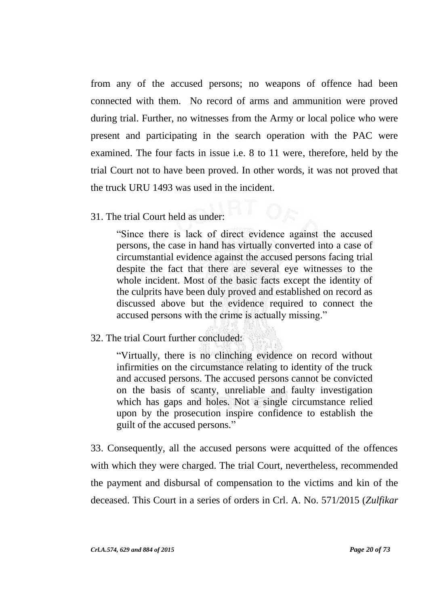from any of the accused persons; no weapons of offence had been connected with them. No record of arms and ammunition were proved during trial. Further, no witnesses from the Army or local police who were present and participating in the search operation with the PAC were examined. The four facts in issue i.e. 8 to 11 were, therefore, held by the trial Court not to have been proved. In other words, it was not proved that the truck URU 1493 was used in the incident.

31. The trial Court held as under:

"Since there is lack of direct evidence against the accused persons, the case in hand has virtually converted into a case of circumstantial evidence against the accused persons facing trial despite the fact that there are several eye witnesses to the whole incident. Most of the basic facts except the identity of the culprits have been duly proved and established on record as discussed above but the evidence required to connect the accused persons with the crime is actually missing."

32. The trial Court further concluded:

"Virtually, there is no clinching evidence on record without infirmities on the circumstance relating to identity of the truck and accused persons. The accused persons cannot be convicted on the basis of scanty, unreliable and faulty investigation which has gaps and holes. Not a single circumstance relied upon by the prosecution inspire confidence to establish the guilt of the accused persons."

33. Consequently, all the accused persons were acquitted of the offences with which they were charged. The trial Court, nevertheless, recommended the payment and disbursal of compensation to the victims and kin of the deceased. This Court in a series of orders in Crl. A. No. 571/2015 (*Zulfikar*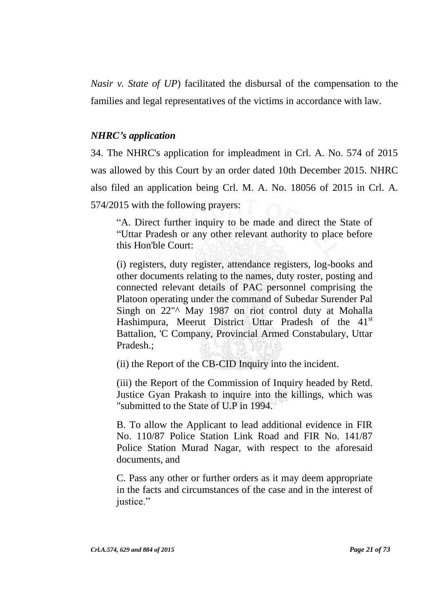*Nasir v. State of UP*) facilitated the disbursal of the compensation to the families and legal representatives of the victims in accordance with law.

## *NHRC's application*

34. The NHRC's application for impleadment in Crl. A. No. 574 of 2015 was allowed by this Court by an order dated 10th December 2015. NHRC also filed an application being Crl. M. A. No. 18056 of 2015 in Crl. A. 574/2015 with the following prayers:

"A. Direct further inquiry to be made and direct the State of "Uttar Pradesh or any other relevant authority to place before this Hon'ble Court:

(i) registers, duty register, attendance registers, log-books and other documents relating to the names, duty roster, posting and connected relevant details of PAC personnel comprising the Platoon operating under the command of Subedar Surender Pal Singh on 22"<sup>^</sup> May 1987 on riot control duty at Mohalla Hashimpura, Meerut District Uttar Pradesh of the 41<sup>st</sup> Battalion, 'C Company, Provincial Armed Constabulary, Uttar Pradesh.;

(ii) the Report of the CB-CID Inquiry into the incident.

(iii) the Report of the Commission of Inquiry headed by Retd. Justice Gyan Prakash to inquire into the killings, which was "submitted to the State of U.P in 1994.

B. To allow the Applicant to lead additional evidence in FIR No. 110/87 Police Station Link Road and FIR No. 141/87 Police Station Murad Nagar, with respect to the aforesaid documents, and

C. Pass any other or further orders as it may deem appropriate in the facts and circumstances of the case and in the interest of justice."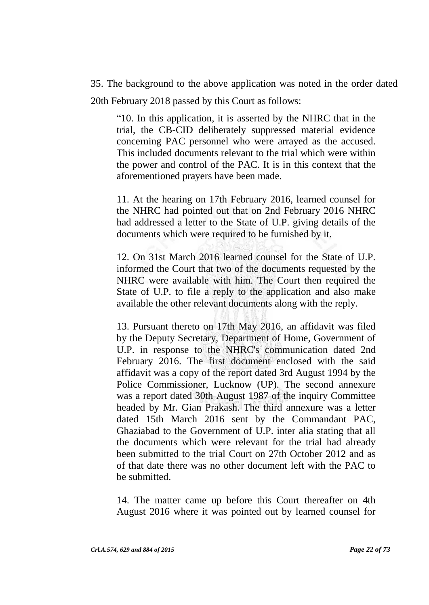35. The background to the above application was noted in the order dated 20th February 2018 passed by this Court as follows:

"10. In this application, it is asserted by the NHRC that in the trial, the CB-CID deliberately suppressed material evidence concerning PAC personnel who were arrayed as the accused. This included documents relevant to the trial which were within the power and control of the PAC. It is in this context that the aforementioned prayers have been made.

11. At the hearing on 17th February 2016, learned counsel for the NHRC had pointed out that on 2nd February 2016 NHRC had addressed a letter to the State of U.P. giving details of the documents which were required to be furnished by it.

12. On 31st March 2016 learned counsel for the State of U.P. informed the Court that two of the documents requested by the NHRC were available with him. The Court then required the State of U.P. to file a reply to the application and also make available the other relevant documents along with the reply.

13. Pursuant thereto on 17th May 2016, an affidavit was filed by the Deputy Secretary, Department of Home, Government of U.P. in response to the NHRC's communication dated 2nd February 2016. The first document enclosed with the said affidavit was a copy of the report dated 3rd August 1994 by the Police Commissioner, Lucknow (UP). The second annexure was a report dated 30th August 1987 of the inquiry Committee headed by Mr. Gian Prakash. The third annexure was a letter dated 15th March 2016 sent by the Commandant PAC, Ghaziabad to the Government of U.P. inter alia stating that all the documents which were relevant for the trial had already been submitted to the trial Court on 27th October 2012 and as of that date there was no other document left with the PAC to be submitted.

14. The matter came up before this Court thereafter on 4th August 2016 where it was pointed out by learned counsel for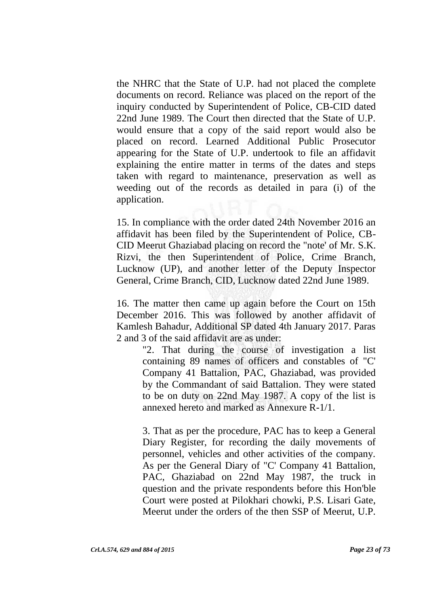the NHRC that the State of U.P. had not placed the complete documents on record. Reliance was placed on the report of the inquiry conducted by Superintendent of Police, CB-CID dated 22nd June 1989. The Court then directed that the State of U.P. would ensure that a copy of the said report would also be placed on record. Learned Additional Public Prosecutor appearing for the State of U.P. undertook to file an affidavit explaining the entire matter in terms of the dates and steps taken with regard to maintenance, preservation as well as weeding out of the records as detailed in para (i) of the application.

15. In compliance with the order dated 24th November 2016 an affidavit has been filed by the Superintendent of Police, CB-CID Meerut Ghaziabad placing on record the "note' of Mr. S.K. Rizvi, the then Superintendent of Police, Crime Branch, Lucknow (UP), and another letter of the Deputy Inspector General, Crime Branch, CID, Lucknow dated 22nd June 1989.

16. The matter then came up again before the Court on 15th December 2016. This was followed by another affidavit of Kamlesh Bahadur, Additional SP dated 4th January 2017. Paras 2 and 3 of the said affidavit are as under:

"2. That during the course of investigation a list containing 89 names of officers and constables of "C' Company 41 Battalion, PAC, Ghaziabad, was provided by the Commandant of said Battalion. They were stated to be on duty on 22nd May 1987. A copy of the list is annexed hereto and marked as Annexure R-1/1.

3. That as per the procedure, PAC has to keep a General Diary Register, for recording the daily movements of personnel, vehicles and other activities of the company. As per the General Diary of "C' Company 41 Battalion, PAC, Ghaziabad on 22nd May 1987, the truck in question and the private respondents before this Hon'ble Court were posted at Pilokhari chowki, P.S. Lisari Gate, Meerut under the orders of the then SSP of Meerut, U.P.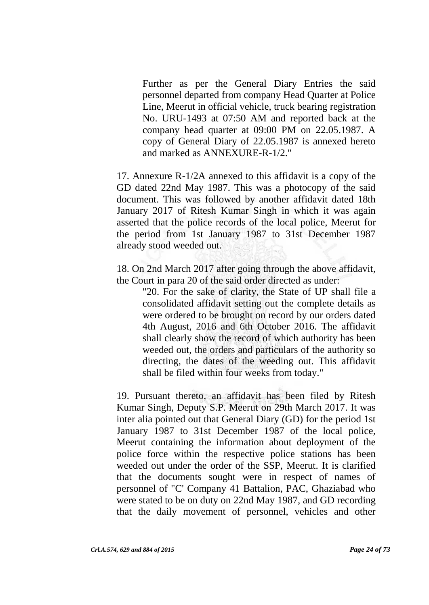Further as per the General Diary Entries the said personnel departed from company Head Quarter at Police Line, Meerut in official vehicle, truck bearing registration No. URU-1493 at 07:50 AM and reported back at the company head quarter at 09:00 PM on 22.05.1987. A copy of General Diary of 22.05.1987 is annexed hereto and marked as ANNEXURE-R-1/2."

17. Annexure R-1/2A annexed to this affidavit is a copy of the GD dated 22nd May 1987. This was a photocopy of the said document. This was followed by another affidavit dated 18th January 2017 of Ritesh Kumar Singh in which it was again asserted that the police records of the local police, Meerut for the period from 1st January 1987 to 31st December 1987 already stood weeded out.

18. On 2nd March 2017 after going through the above affidavit, the Court in para 20 of the said order directed as under:

"20. For the sake of clarity, the State of UP shall file a consolidated affidavit setting out the complete details as were ordered to be brought on record by our orders dated 4th August, 2016 and 6th October 2016. The affidavit shall clearly show the record of which authority has been weeded out, the orders and particulars of the authority so directing, the dates of the weeding out. This affidavit shall be filed within four weeks from today."

19. Pursuant thereto, an affidavit has been filed by Ritesh Kumar Singh, Deputy S.P. Meerut on 29th March 2017. It was inter alia pointed out that General Diary (GD) for the period 1st January 1987 to 31st December 1987 of the local police, Meerut containing the information about deployment of the police force within the respective police stations has been weeded out under the order of the SSP, Meerut. It is clarified that the documents sought were in respect of names of personnel of "C' Company 41 Battalion, PAC, Ghaziabad who were stated to be on duty on 22nd May 1987, and GD recording that the daily movement of personnel, vehicles and other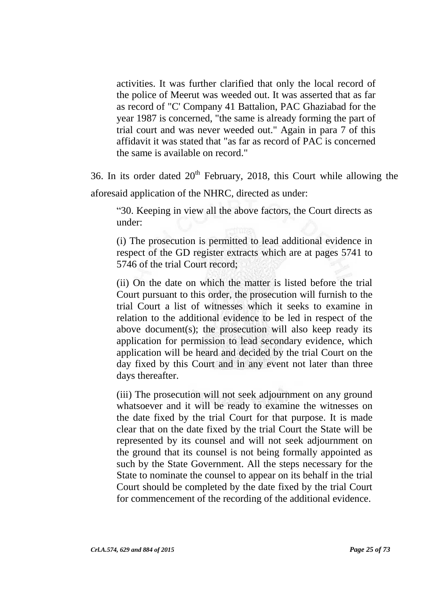activities. It was further clarified that only the local record of the police of Meerut was weeded out. It was asserted that as far as record of "C' Company 41 Battalion, PAC Ghaziabad for the year 1987 is concerned, "the same is already forming the part of trial court and was never weeded out." Again in para 7 of this affidavit it was stated that "as far as record of PAC is concerned the same is available on record."

36. In its order dated  $20<sup>th</sup>$  February, 2018, this Court while allowing the aforesaid application of the NHRC, directed as under:

"30. Keeping in view all the above factors, the Court directs as under:

(i) The prosecution is permitted to lead additional evidence in respect of the GD register extracts which are at pages 5741 to 5746 of the trial Court record;

(ii) On the date on which the matter is listed before the trial Court pursuant to this order, the prosecution will furnish to the trial Court a list of witnesses which it seeks to examine in relation to the additional evidence to be led in respect of the above document(s); the prosecution will also keep ready its application for permission to lead secondary evidence, which application will be heard and decided by the trial Court on the day fixed by this Court and in any event not later than three days thereafter.

(iii) The prosecution will not seek adjournment on any ground whatsoever and it will be ready to examine the witnesses on the date fixed by the trial Court for that purpose. It is made clear that on the date fixed by the trial Court the State will be represented by its counsel and will not seek adjournment on the ground that its counsel is not being formally appointed as such by the State Government. All the steps necessary for the State to nominate the counsel to appear on its behalf in the trial Court should be completed by the date fixed by the trial Court for commencement of the recording of the additional evidence.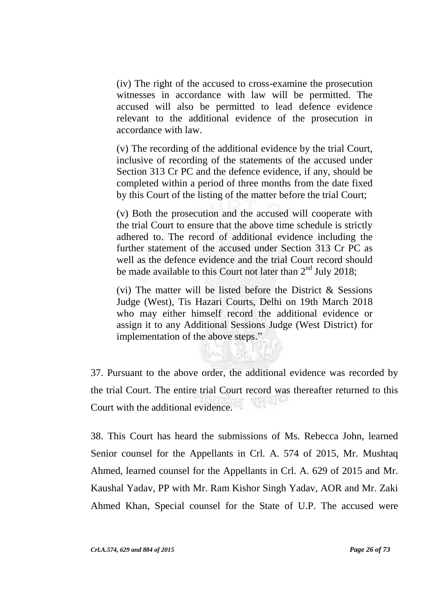(iv) The right of the accused to cross-examine the prosecution witnesses in accordance with law will be permitted. The accused will also be permitted to lead defence evidence relevant to the additional evidence of the prosecution in accordance with law.

(v) The recording of the additional evidence by the trial Court, inclusive of recording of the statements of the accused under Section 313 Cr PC and the defence evidence, if any, should be completed within a period of three months from the date fixed by this Court of the listing of the matter before the trial Court;

(v) Both the prosecution and the accused will cooperate with the trial Court to ensure that the above time schedule is strictly adhered to. The record of additional evidence including the further statement of the accused under Section 313 Cr PC as well as the defence evidence and the trial Court record should be made available to this Court not later than  $2<sup>nd</sup>$  July 2018;

(vi) The matter will be listed before the District  $\&$  Sessions Judge (West), Tis Hazari Courts, Delhi on 19th March 2018 who may either himself record the additional evidence or assign it to any Additional Sessions Judge (West District) for implementation of the above steps."

37. Pursuant to the above order, the additional evidence was recorded by the trial Court. The entire trial Court record was thereafter returned to this 재리의 Court with the additional evidence.

38. This Court has heard the submissions of Ms. Rebecca John, learned Senior counsel for the Appellants in Crl. A. 574 of 2015, Mr. Mushtaq Ahmed, learned counsel for the Appellants in Crl. A. 629 of 2015 and Mr. Kaushal Yadav, PP with Mr. Ram Kishor Singh Yadav, AOR and Mr. Zaki Ahmed Khan, Special counsel for the State of U.P. The accused were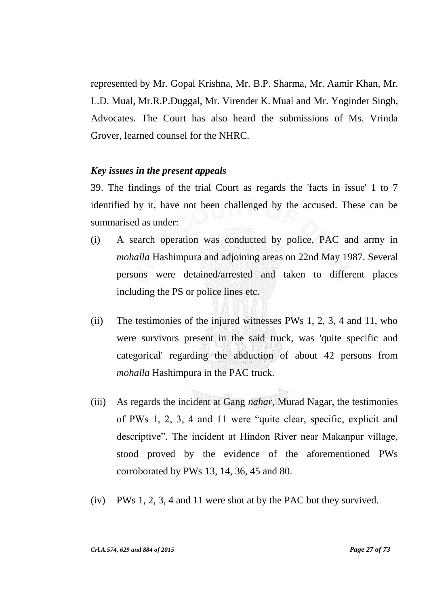represented by Mr. Gopal Krishna, Mr. B.P. Sharma, Mr. Aamir Khan, Mr. L.D. Mual, Mr.R.P.Duggal, Mr. Virender K. Mual and Mr. Yoginder Singh, Advocates. The Court has also heard the submissions of Ms. Vrinda Grover, learned counsel for the NHRC.

## *Key issues in the present appeals*

39. The findings of the trial Court as regards the 'facts in issue' 1 to 7 identified by it, have not been challenged by the accused. These can be summarised as under:

- (i) A search operation was conducted by police, PAC and army in *mohalla* Hashimpura and adjoining areas on 22nd May 1987. Several persons were detained/arrested and taken to different places including the PS or police lines etc.
- (ii) The testimonies of the injured witnesses PWs 1, 2, 3, 4 and 11, who were survivors present in the said truck, was 'quite specific and categorical' regarding the abduction of about 42 persons from *mohalla* Hashimpura in the PAC truck.
- (iii) As regards the incident at Gang *nahar*, Murad Nagar, the testimonies of PWs 1, 2, 3, 4 and 11 were "quite clear, specific, explicit and descriptive". The incident at Hindon River near Makanpur village, stood proved by the evidence of the aforementioned PWs corroborated by PWs 13, 14, 36, 45 and 80.
- (iv) PWs 1, 2, 3, 4 and 11 were shot at by the PAC but they survived.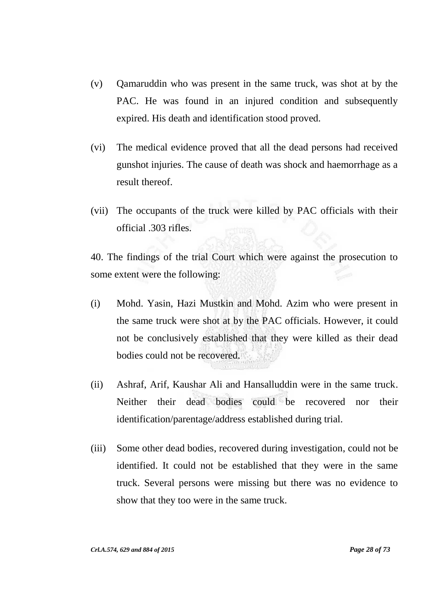- (v) Qamaruddin who was present in the same truck, was shot at by the PAC. He was found in an injured condition and subsequently expired. His death and identification stood proved.
- (vi) The medical evidence proved that all the dead persons had received gunshot injuries. The cause of death was shock and haemorrhage as a result thereof.
- (vii) The occupants of the truck were killed by PAC officials with their official .303 rifles.

40. The findings of the trial Court which were against the prosecution to some extent were the following:

- (i) Mohd. Yasin, Hazi Mustkin and Mohd. Azim who were present in the same truck were shot at by the PAC officials. However, it could not be conclusively established that they were killed as their dead bodies could not be recovered.
- (ii) Ashraf, Arif, Kaushar Ali and Hansalluddin were in the same truck. Neither their dead bodies could be recovered nor their identification/parentage/address established during trial.
- (iii) Some other dead bodies, recovered during investigation, could not be identified. It could not be established that they were in the same truck. Several persons were missing but there was no evidence to show that they too were in the same truck.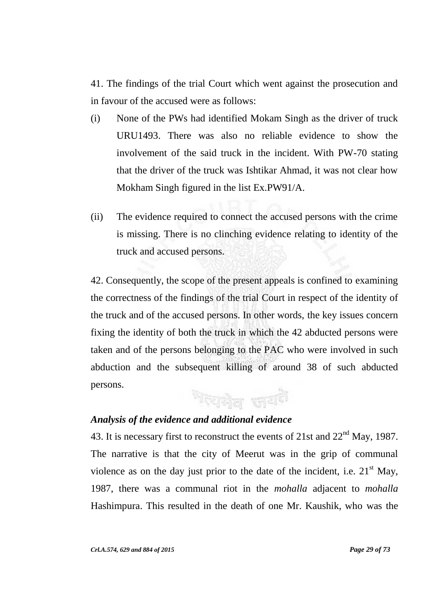41. The findings of the trial Court which went against the prosecution and in favour of the accused were as follows:

- (i) None of the PWs had identified Mokam Singh as the driver of truck URU1493. There was also no reliable evidence to show the involvement of the said truck in the incident. With PW-70 stating that the driver of the truck was Ishtikar Ahmad, it was not clear how Mokham Singh figured in the list Ex.PW91/A.
- (ii) The evidence required to connect the accused persons with the crime is missing. There is no clinching evidence relating to identity of the truck and accused persons.

42. Consequently, the scope of the present appeals is confined to examining the correctness of the findings of the trial Court in respect of the identity of the truck and of the accused persons. In other words, the key issues concern fixing the identity of both the truck in which the 42 abducted persons were taken and of the persons belonging to the PAC who were involved in such abduction and the subsequent killing of around 38 of such abducted persons. শংস্ক্রীল জশ<sup>ই</sup>

## *Analysis of the evidence and additional evidence*

43. It is necessary first to reconstruct the events of  $21st$  and  $22<sup>nd</sup>$  May, 1987. The narrative is that the city of Meerut was in the grip of communal violence as on the day just prior to the date of the incident, i.e.  $21<sup>st</sup>$  May, 1987, there was a communal riot in the *mohalla* adjacent to *mohalla* Hashimpura. This resulted in the death of one Mr. Kaushik, who was the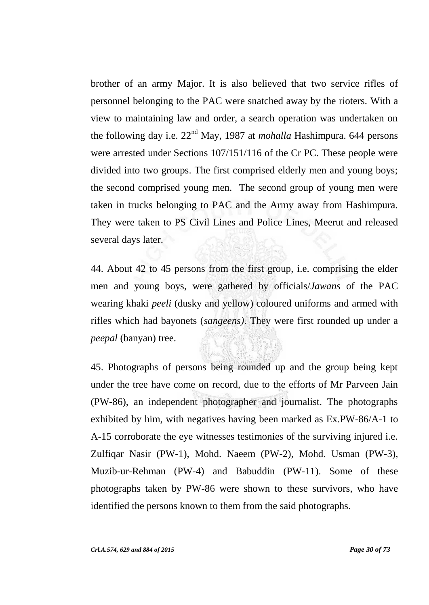brother of an army Major. It is also believed that two service rifles of personnel belonging to the PAC were snatched away by the rioters. With a view to maintaining law and order, a search operation was undertaken on the following day i.e. 22nd May, 1987 at *mohalla* Hashimpura. 644 persons were arrested under Sections 107/151/116 of the Cr PC. These people were divided into two groups. The first comprised elderly men and young boys; the second comprised young men. The second group of young men were taken in trucks belonging to PAC and the Army away from Hashimpura. They were taken to PS Civil Lines and Police Lines, Meerut and released several days later.

44. About 42 to 45 persons from the first group, i.e. comprising the elder men and young boys, were gathered by officials/*Jawans* of the PAC wearing khaki *peeli* (dusky and yellow) coloured uniforms and armed with rifles which had bayonets (*sangeens)*. They were first rounded up under a *peepal* (banyan) tree.

45. Photographs of persons being rounded up and the group being kept under the tree have come on record, due to the efforts of Mr Parveen Jain (PW-86), an independent photographer and journalist. The photographs exhibited by him, with negatives having been marked as Ex.PW-86/A-1 to A-15 corroborate the eye witnesses testimonies of the surviving injured i.e. Zulfiqar Nasir (PW-1), Mohd. Naeem (PW-2), Mohd. Usman (PW-3), Muzib-ur-Rehman (PW-4) and Babuddin (PW-11). Some of these photographs taken by PW-86 were shown to these survivors, who have identified the persons known to them from the said photographs.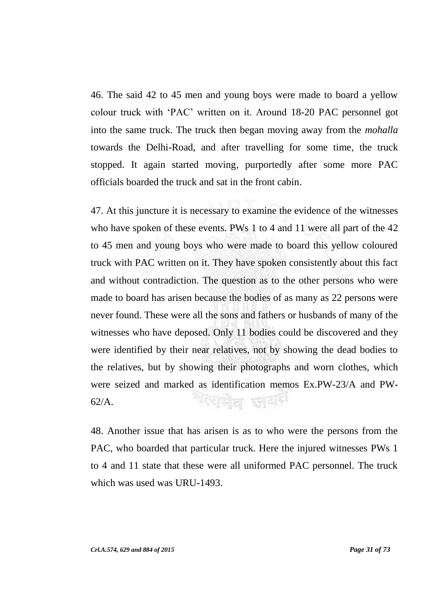46. The said 42 to 45 men and young boys were made to board a yellow colour truck with "PAC" written on it. Around 18-20 PAC personnel got into the same truck. The truck then began moving away from the *mohalla* towards the Delhi-Road, and after travelling for some time, the truck stopped. It again started moving, purportedly after some more PAC officials boarded the truck and sat in the front cabin.

47. At this juncture it is necessary to examine the evidence of the witnesses who have spoken of these events. PWs 1 to 4 and 11 were all part of the 42 to 45 men and young boys who were made to board this yellow coloured truck with PAC written on it. They have spoken consistently about this fact and without contradiction. The question as to the other persons who were made to board has arisen because the bodies of as many as 22 persons were never found. These were all the sons and fathers or husbands of many of the witnesses who have deposed. Only 11 bodies could be discovered and they were identified by their near relatives, not by showing the dead bodies to the relatives, but by showing their photographs and worn clothes, which were seized and marked as identification memos Ex.PW-23/A and PW-<sup>त्</sup>यमेव जय<sup>हा</sup> 62/A.

48. Another issue that has arisen is as to who were the persons from the PAC, who boarded that particular truck. Here the injured witnesses PWs 1 to 4 and 11 state that these were all uniformed PAC personnel. The truck which was used was URU-1493.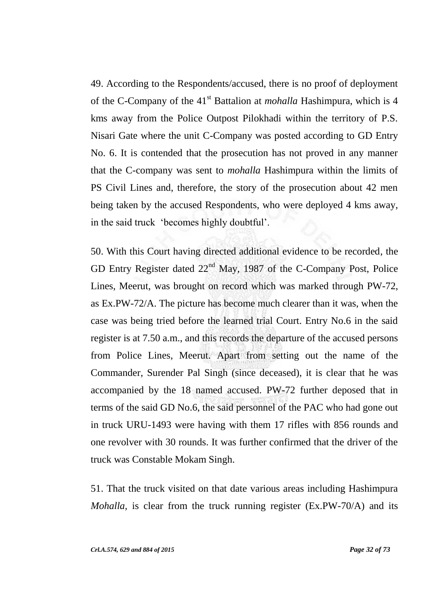49. According to the Respondents/accused, there is no proof of deployment of the C-Company of the 41st Battalion at *mohalla* Hashimpura, which is 4 kms away from the Police Outpost Pilokhadi within the territory of P.S. Nisari Gate where the unit C-Company was posted according to GD Entry No. 6. It is contended that the prosecution has not proved in any manner that the C-company was sent to *mohalla* Hashimpura within the limits of PS Civil Lines and, therefore, the story of the prosecution about 42 men being taken by the accused Respondents, who were deployed 4 kms away, in the said truck "becomes highly doubtful".

50. With this Court having directed additional evidence to be recorded, the GD Entry Register dated 22<sup>nd</sup> May, 1987 of the C-Company Post, Police Lines, Meerut, was brought on record which was marked through PW-72, as Ex.PW-72/A. The picture has become much clearer than it was, when the case was being tried before the learned trial Court. Entry No.6 in the said register is at 7.50 a.m., and this records the departure of the accused persons from Police Lines, Meerut. Apart from setting out the name of the Commander, Surender Pal Singh (since deceased), it is clear that he was accompanied by the 18 named accused. PW-72 further deposed that in terms of the said GD No.6, the said personnel of the PAC who had gone out in truck URU-1493 were having with them 17 rifles with 856 rounds and one revolver with 30 rounds. It was further confirmed that the driver of the truck was Constable Mokam Singh.

51. That the truck visited on that date various areas including Hashimpura *Mohalla,* is clear from the truck running register (Ex.PW-70/A) and its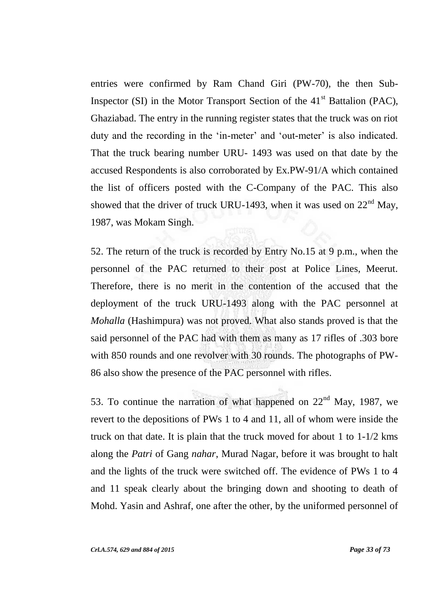entries were confirmed by Ram Chand Giri (PW-70), the then Sub-Inspector (SI) in the Motor Transport Section of the  $41<sup>st</sup>$  Battalion (PAC), Ghaziabad. The entry in the running register states that the truck was on riot duty and the recording in the 'in-meter' and 'out-meter' is also indicated. That the truck bearing number URU- 1493 was used on that date by the accused Respondents is also corroborated by Ex.PW-91/A which contained the list of officers posted with the C-Company of the PAC. This also showed that the driver of truck URU-1493, when it was used on  $22<sup>nd</sup>$  May, 1987, was Mokam Singh.

52. The return of the truck is recorded by Entry No.15 at 9 p.m., when the personnel of the PAC returned to their post at Police Lines, Meerut. Therefore, there is no merit in the contention of the accused that the deployment of the truck URU-1493 along with the PAC personnel at *Mohalla* (Hashimpura) was not proved. What also stands proved is that the said personnel of the PAC had with them as many as 17 rifles of .303 bore with 850 rounds and one revolver with 30 rounds. The photographs of PW-86 also show the presence of the PAC personnel with rifles.

53. To continue the narration of what happened on  $22<sup>nd</sup>$  May, 1987, we revert to the depositions of PWs 1 to 4 and 11, all of whom were inside the truck on that date. It is plain that the truck moved for about 1 to 1-1/2 kms along the *Patri* of Gang *nahar*, Murad Nagar, before it was brought to halt and the lights of the truck were switched off. The evidence of PWs 1 to 4 and 11 speak clearly about the bringing down and shooting to death of Mohd. Yasin and Ashraf, one after the other, by the uniformed personnel of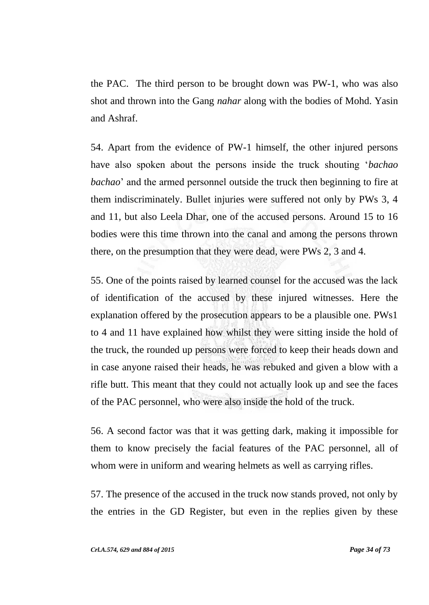the PAC. The third person to be brought down was PW-1, who was also shot and thrown into the Gang *nahar* along with the bodies of Mohd. Yasin and Ashraf.

54. Apart from the evidence of PW-1 himself, the other injured persons have also spoken about the persons inside the truck shouting "*bachao bachao*" and the armed personnel outside the truck then beginning to fire at them indiscriminately. Bullet injuries were suffered not only by PWs 3, 4 and 11, but also Leela Dhar, one of the accused persons. Around 15 to 16 bodies were this time thrown into the canal and among the persons thrown there, on the presumption that they were dead, were PWs 2, 3 and 4.

55. One of the points raised by learned counsel for the accused was the lack of identification of the accused by these injured witnesses. Here the explanation offered by the prosecution appears to be a plausible one. PWs1 to 4 and 11 have explained how whilst they were sitting inside the hold of the truck, the rounded up persons were forced to keep their heads down and in case anyone raised their heads, he was rebuked and given a blow with a rifle butt. This meant that they could not actually look up and see the faces of the PAC personnel, who were also inside the hold of the truck.

56. A second factor was that it was getting dark, making it impossible for them to know precisely the facial features of the PAC personnel, all of whom were in uniform and wearing helmets as well as carrying rifles.

57. The presence of the accused in the truck now stands proved, not only by the entries in the GD Register, but even in the replies given by these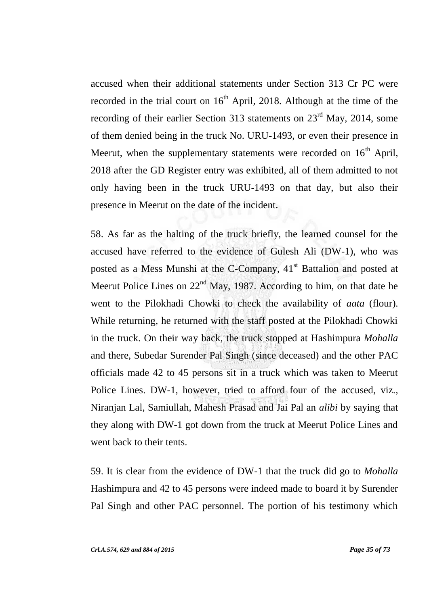accused when their additional statements under Section 313 Cr PC were recorded in the trial court on  $16<sup>th</sup>$  April, 2018. Although at the time of the recording of their earlier Section 313 statements on 23<sup>rd</sup> May, 2014, some of them denied being in the truck No. URU-1493, or even their presence in Meerut, when the supplementary statements were recorded on  $16<sup>th</sup>$  April, 2018 after the GD Register entry was exhibited, all of them admitted to not only having been in the truck URU-1493 on that day, but also their presence in Meerut on the date of the incident.

58. As far as the halting of the truck briefly, the learned counsel for the accused have referred to the evidence of Gulesh Ali (DW-1), who was posted as a Mess Munshi at the C-Company,  $41<sup>st</sup>$  Battalion and posted at Meerut Police Lines on  $22<sup>nd</sup>$  May, 1987. According to him, on that date he went to the Pilokhadi Chowki to check the availability of *aata* (flour). While returning, he returned with the staff posted at the Pilokhadi Chowki in the truck. On their way back, the truck stopped at Hashimpura *Mohalla* and there, Subedar Surender Pal Singh (since deceased) and the other PAC officials made 42 to 45 persons sit in a truck which was taken to Meerut Police Lines. DW-1, however, tried to afford four of the accused, viz., Niranjan Lal, Samiullah, Mahesh Prasad and Jai Pal an *alibi* by saying that they along with DW-1 got down from the truck at Meerut Police Lines and went back to their tents.

59. It is clear from the evidence of DW-1 that the truck did go to *Mohalla* Hashimpura and 42 to 45 persons were indeed made to board it by Surender Pal Singh and other PAC personnel. The portion of his testimony which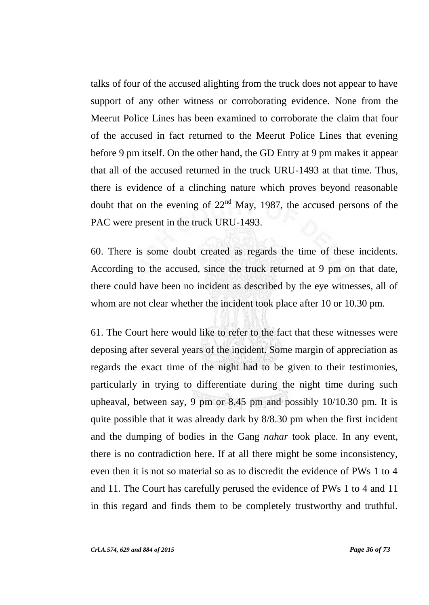talks of four of the accused alighting from the truck does not appear to have support of any other witness or corroborating evidence. None from the Meerut Police Lines has been examined to corroborate the claim that four of the accused in fact returned to the Meerut Police Lines that evening before 9 pm itself. On the other hand, the GD Entry at 9 pm makes it appear that all of the accused returned in the truck URU-1493 at that time. Thus, there is evidence of a clinching nature which proves beyond reasonable doubt that on the evening of  $22<sup>nd</sup>$  May, 1987, the accused persons of the PAC were present in the truck URU-1493.

60. There is some doubt created as regards the time of these incidents. According to the accused, since the truck returned at 9 pm on that date, there could have been no incident as described by the eye witnesses, all of whom are not clear whether the incident took place after 10 or 10.30 pm.

61. The Court here would like to refer to the fact that these witnesses were deposing after several years of the incident. Some margin of appreciation as regards the exact time of the night had to be given to their testimonies, particularly in trying to differentiate during the night time during such upheaval, between say, 9 pm or 8.45 pm and possibly 10/10.30 pm. It is quite possible that it was already dark by 8/8.30 pm when the first incident and the dumping of bodies in the Gang *nahar* took place. In any event, there is no contradiction here. If at all there might be some inconsistency, even then it is not so material so as to discredit the evidence of PWs 1 to 4 and 11. The Court has carefully perused the evidence of PWs 1 to 4 and 11 in this regard and finds them to be completely trustworthy and truthful.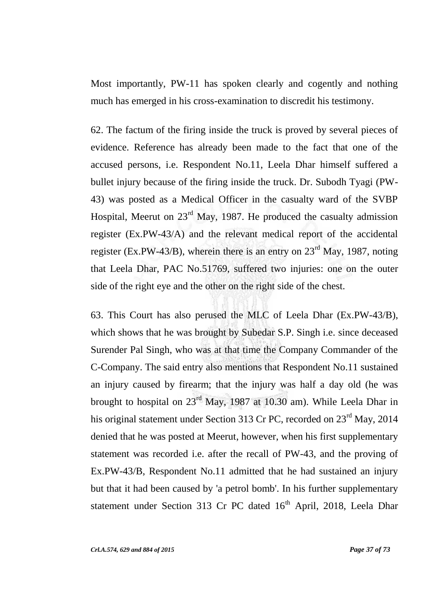Most importantly, PW-11 has spoken clearly and cogently and nothing much has emerged in his cross-examination to discredit his testimony.

62. The factum of the firing inside the truck is proved by several pieces of evidence. Reference has already been made to the fact that one of the accused persons, i.e. Respondent No.11, Leela Dhar himself suffered a bullet injury because of the firing inside the truck. Dr. Subodh Tyagi (PW-43) was posted as a Medical Officer in the casualty ward of the SVBP Hospital, Meerut on 23rd May, 1987. He produced the casualty admission register (Ex.PW-43/A) and the relevant medical report of the accidental register (Ex.PW-43/B), wherein there is an entry on  $23<sup>rd</sup>$  May, 1987, noting that Leela Dhar, PAC No.51769, suffered two injuries: one on the outer side of the right eye and the other on the right side of the chest.

63. This Court has also perused the MLC of Leela Dhar (Ex.PW-43/B), which shows that he was brought by Subedar S.P. Singh i.e. since deceased Surender Pal Singh, who was at that time the Company Commander of the C-Company. The said entry also mentions that Respondent No.11 sustained an injury caused by firearm; that the injury was half a day old (he was brought to hospital on 23rd May, 1987 at 10.30 am). While Leela Dhar in his original statement under Section 313 Cr PC, recorded on 23<sup>rd</sup> May, 2014 denied that he was posted at Meerut, however, when his first supplementary statement was recorded i.e. after the recall of PW-43, and the proving of Ex.PW-43/B, Respondent No.11 admitted that he had sustained an injury but that it had been caused by 'a petrol bomb'. In his further supplementary statement under Section 313 Cr PC dated 16<sup>th</sup> April, 2018, Leela Dhar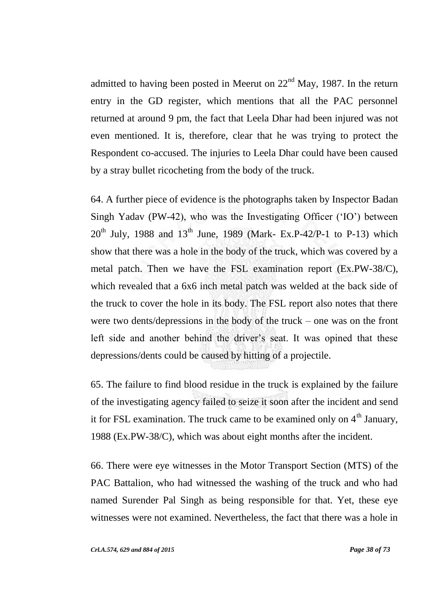admitted to having been posted in Meerut on  $22<sup>nd</sup>$  May, 1987. In the return entry in the GD register, which mentions that all the PAC personnel returned at around 9 pm, the fact that Leela Dhar had been injured was not even mentioned. It is, therefore, clear that he was trying to protect the Respondent co-accused. The injuries to Leela Dhar could have been caused by a stray bullet ricocheting from the body of the truck.

64. A further piece of evidence is the photographs taken by Inspector Badan Singh Yadav (PW-42), who was the Investigating Officer ("IO") between  $20^{th}$  July, 1988 and  $13^{th}$  June, 1989 (Mark- Ex.P-42/P-1 to P-13) which show that there was a hole in the body of the truck, which was covered by a metal patch. Then we have the FSL examination report (Ex.PW-38/C), which revealed that a 6x6 inch metal patch was welded at the back side of the truck to cover the hole in its body. The FSL report also notes that there were two dents/depressions in the body of the truck – one was on the front left side and another behind the driver's seat. It was opined that these depressions/dents could be caused by hitting of a projectile.

65. The failure to find blood residue in the truck is explained by the failure of the investigating agency failed to seize it soon after the incident and send it for FSL examination. The truck came to be examined only on  $4<sup>th</sup>$  January, 1988 (Ex.PW-38/C), which was about eight months after the incident.

66. There were eye witnesses in the Motor Transport Section (MTS) of the PAC Battalion, who had witnessed the washing of the truck and who had named Surender Pal Singh as being responsible for that. Yet, these eye witnesses were not examined. Nevertheless, the fact that there was a hole in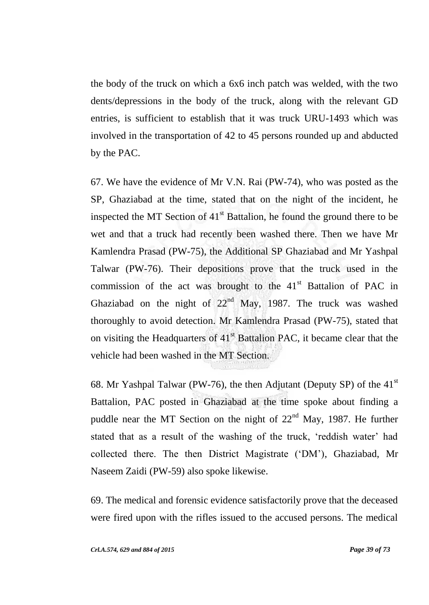the body of the truck on which a 6x6 inch patch was welded, with the two dents/depressions in the body of the truck, along with the relevant GD entries, is sufficient to establish that it was truck URU-1493 which was involved in the transportation of 42 to 45 persons rounded up and abducted by the PAC.

67. We have the evidence of Mr V.N. Rai (PW-74), who was posted as the SP, Ghaziabad at the time, stated that on the night of the incident, he inspected the MT Section of  $41<sup>st</sup>$  Battalion, he found the ground there to be wet and that a truck had recently been washed there. Then we have Mr Kamlendra Prasad (PW-75), the Additional SP Ghaziabad and Mr Yashpal Talwar (PW-76). Their depositions prove that the truck used in the commission of the act was brought to the  $41<sup>st</sup>$  Battalion of PAC in Ghaziabad on the night of  $22<sup>nd</sup>$  May, 1987. The truck was washed thoroughly to avoid detection. Mr Kamlendra Prasad (PW-75), stated that on visiting the Headquarters of  $41<sup>st</sup>$  Battalion PAC, it became clear that the vehicle had been washed in the MT Section.

68. Mr Yashpal Talwar (PW-76), the then Adjutant (Deputy SP) of the  $41<sup>st</sup>$ Battalion, PAC posted in Ghaziabad at the time spoke about finding a puddle near the MT Section on the night of  $22<sup>nd</sup>$  May, 1987. He further stated that as a result of the washing of the truck, 'reddish water' had collected there. The then District Magistrate ("DM"), Ghaziabad, Mr Naseem Zaidi (PW-59) also spoke likewise.

69. The medical and forensic evidence satisfactorily prove that the deceased were fired upon with the rifles issued to the accused persons. The medical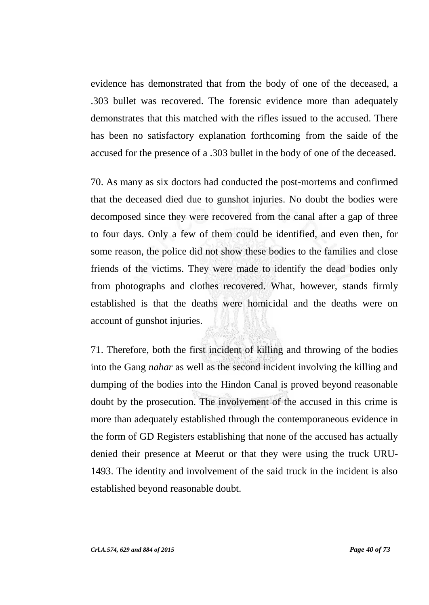evidence has demonstrated that from the body of one of the deceased, a .303 bullet was recovered. The forensic evidence more than adequately demonstrates that this matched with the rifles issued to the accused. There has been no satisfactory explanation forthcoming from the saide of the accused for the presence of a .303 bullet in the body of one of the deceased.

70. As many as six doctors had conducted the post-mortems and confirmed that the deceased died due to gunshot injuries. No doubt the bodies were decomposed since they were recovered from the canal after a gap of three to four days. Only a few of them could be identified, and even then, for some reason, the police did not show these bodies to the families and close friends of the victims. They were made to identify the dead bodies only from photographs and clothes recovered. What, however, stands firmly established is that the deaths were homicidal and the deaths were on account of gunshot injuries.

71. Therefore, both the first incident of killing and throwing of the bodies into the Gang *nahar* as well as the second incident involving the killing and dumping of the bodies into the Hindon Canal is proved beyond reasonable doubt by the prosecution. The involvement of the accused in this crime is more than adequately established through the contemporaneous evidence in the form of GD Registers establishing that none of the accused has actually denied their presence at Meerut or that they were using the truck URU-1493. The identity and involvement of the said truck in the incident is also established beyond reasonable doubt.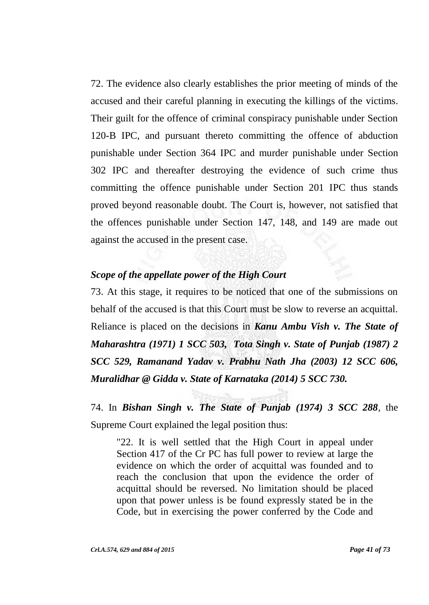72. The evidence also clearly establishes the prior meeting of minds of the accused and their careful planning in executing the killings of the victims. Their guilt for the offence of criminal conspiracy punishable under Section 120-B IPC, and pursuant thereto committing the offence of abduction punishable under Section 364 IPC and murder punishable under Section 302 IPC and thereafter destroying the evidence of such crime thus committing the offence punishable under Section 201 IPC thus stands proved beyond reasonable doubt. The Court is, however, not satisfied that the offences punishable under Section 147, 148, and 149 are made out against the accused in the present case.

# *Scope of the appellate power of the High Court*

73. At this stage, it requires to be noticed that one of the submissions on behalf of the accused is that this Court must be slow to reverse an acquittal. Reliance is placed on the decisions in *Kanu Ambu Vish v. The State of Maharashtra (1971) 1 SCC 503, Tota Singh v. State of Punjab (1987) 2 SCC 529, Ramanand Yadav v. Prabhu Nath Jha (2003) 12 SCC 606, Muralidhar @ Gidda v. State of Karnataka (2014) 5 SCC 730.*

74. In *Bishan Singh v. The State of Punjab (1974) 3 SCC 288*, the Supreme Court explained the legal position thus:

"22. It is well settled that the High Court in appeal under Section 417 of the Cr PC has full power to review at large the evidence on which the order of acquittal was founded and to reach the conclusion that upon the evidence the order of acquittal should be reversed. No limitation should be placed upon that power unless is be found expressly stated be in the Code, but in exercising the power conferred by the Code and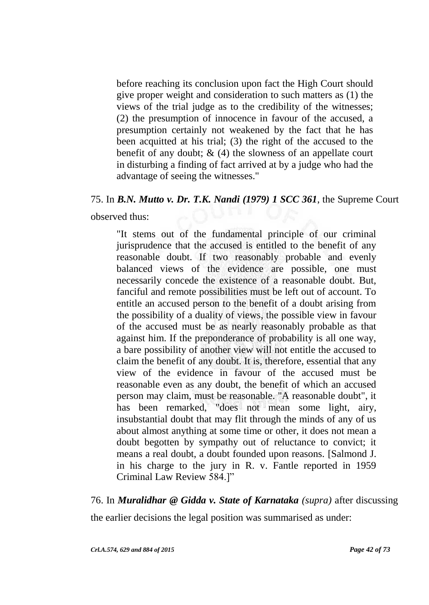before reaching its conclusion upon fact the High Court should give proper weight and consideration to such matters as (1) the views of the trial judge as to the credibility of the witnesses; (2) the presumption of innocence in favour of the accused, a presumption certainly not weakened by the fact that he has been acquitted at his trial; (3) the right of the accused to the benefit of any doubt;  $\&$  (4) the slowness of an appellate court in disturbing a finding of fact arrived at by a judge who had the advantage of seeing the witnesses."

### 75. In *B.N. Mutto v. Dr. T.K. Nandi (1979) 1 SCC 361*, the Supreme Court

observed thus:

"It stems out of the fundamental principle of our criminal jurisprudence that the accused is entitled to the benefit of any reasonable doubt. If two reasonably probable and evenly balanced views of the evidence are possible, one must necessarily concede the existence of a reasonable doubt. But, fanciful and remote possibilities must be left out of account. To entitle an accused person to the benefit of a doubt arising from the possibility of a duality of views, the possible view in favour of the accused must be as nearly reasonably probable as that against him. If the preponderance of probability is all one way, a bare possibility of another view will not entitle the accused to claim the benefit of any doubt. It is, therefore, essential that any view of the evidence in favour of the accused must be reasonable even as any doubt, the benefit of which an accused person may claim, must be reasonable. "A reasonable doubt", it has been remarked, "does not mean some light, airy, insubstantial doubt that may flit through the minds of any of us about almost anything at some time or other, it does not mean a doubt begotten by sympathy out of reluctance to convict; it means a real doubt, a doubt founded upon reasons. [Salmond J. in his charge to the jury in R. v. Fantle reported in 1959 Criminal Law Review 584.]"

### 76. In *Muralidhar @ Gidda v. State of Karnataka (supra)* after discussing

the earlier decisions the legal position was summarised as under: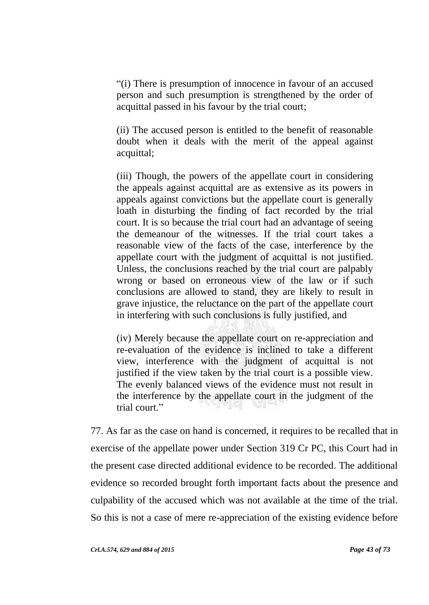"(i) There is presumption of innocence in favour of an accused person and such presumption is strengthened by the order of acquittal passed in his favour by the trial court;

(ii) The accused person is entitled to the benefit of reasonable doubt when it deals with the merit of the appeal against acquittal;

(iii) Though, the powers of the appellate court in considering the appeals against acquittal are as extensive as its powers in appeals against convictions but the appellate court is generally loath in disturbing the finding of fact recorded by the trial court. It is so because the trial court had an advantage of seeing the demeanour of the witnesses. If the trial court takes a reasonable view of the facts of the case, interference by the appellate court with the judgment of acquittal is not justified. Unless, the conclusions reached by the trial court are palpably wrong or based on erroneous view of the law or if such conclusions are allowed to stand, they are likely to result in grave injustice, the reluctance on the part of the appellate court in interfering with such conclusions is fully justified, and

(iv) Merely because the appellate court on re-appreciation and re-evaluation of the evidence is inclined to take a different view, interference with the judgment of acquittal is not justified if the view taken by the trial court is a possible view. The evenly balanced views of the evidence must not result in the interference by the appellate court in the judgment of the trial court."

77. As far as the case on hand is concerned, it requires to be recalled that in exercise of the appellate power under Section 319 Cr PC, this Court had in the present case directed additional evidence to be recorded. The additional evidence so recorded brought forth important facts about the presence and culpability of the accused which was not available at the time of the trial. So this is not a case of mere re-appreciation of the existing evidence before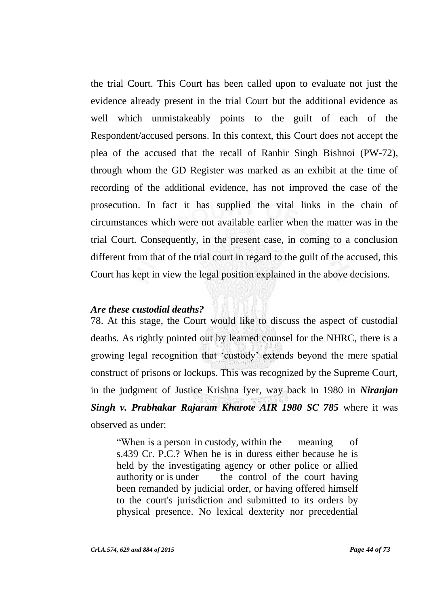the trial Court. This Court has been called upon to evaluate not just the evidence already present in the trial Court but the additional evidence as well which unmistakeably points to the guilt of each of the Respondent/accused persons. In this context, this Court does not accept the plea of the accused that the recall of Ranbir Singh Bishnoi (PW-72), through whom the GD Register was marked as an exhibit at the time of recording of the additional evidence, has not improved the case of the prosecution. In fact it has supplied the vital links in the chain of circumstances which were not available earlier when the matter was in the trial Court. Consequently, in the present case, in coming to a conclusion different from that of the trial court in regard to the guilt of the accused, this Court has kept in view the legal position explained in the above decisions.

#### *Are these custodial deaths?*

78. At this stage, the Court would like to discuss the aspect of custodial deaths. As rightly pointed out by learned counsel for the NHRC, there is a growing legal recognition that "custody" extends beyond the mere spatial construct of prisons or lockups. This was recognized by the Supreme Court, in the judgment of Justice Krishna Iyer, way back in 1980 in *Niranjan Singh v. Prabhakar Rajaram Kharote AIR 1980 SC 785* where it was observed as under:

"When is a person in custody, within the meaning of s.439 Cr. P.C.? When he is in duress either because he is held by the investigating agency or other police or allied authority or is under the control of the court having been remanded by judicial order, or having offered himself to the court's jurisdiction and submitted to its orders by physical presence. No lexical dexterity nor precedential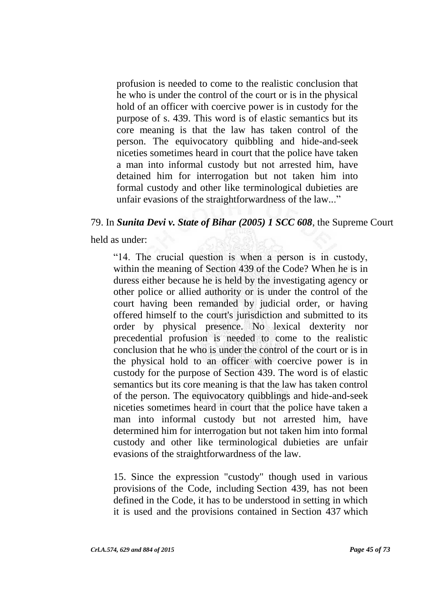profusion is needed to come to the realistic conclusion that he who is under the control of the court or is in the physical hold of an officer with coercive power is in custody for the purpose of s. 439. This word is of elastic semantics but its core meaning is that the law has taken control of the person. The equivocatory quibbling and hide-and-seek niceties sometimes heard in court that the police have taken a man into informal custody but not arrested him, have detained him for interrogation but not taken him into formal custody and other like terminological dubieties are unfair evasions of the straightforwardness of the law..."

# 79. In *Sunita Devi v. State of Bihar (2005) 1 SCC 608*, the Supreme Court

held as under:

"14. The crucial question is when a person is in custody, within the meaning of Section 439 of the Code? When he is in duress either because he is held by the investigating agency or other police or allied authority or is under the control of the court having been remanded by judicial order, or having offered himself to the court's jurisdiction and submitted to its order by physical presence. No lexical dexterity nor precedential profusion is needed to come to the realistic conclusion that he who is under the control of the court or is in the physical hold to an officer with coercive power is in custody for the purpose of Section 439. The word is of elastic semantics but its core meaning is that the law has taken control of the person. The equivocatory quibblings and hide-and-seek niceties sometimes heard in court that the police have taken a man into informal custody but not arrested him, have determined him for interrogation but not taken him into formal custody and other like terminological dubieties are unfair evasions of the straightforwardness of the law.

15. Since the expression "custody" though used in various provisions of the Code, including Section 439, has not been defined in the Code, it has to be understood in setting in which it is used and the provisions contained in Section 437 which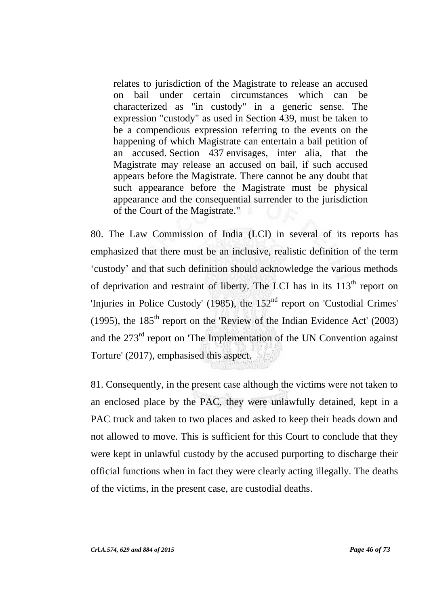relates to jurisdiction of the Magistrate to release an accused on bail under certain circumstances which can be characterized as "in custody" in a generic sense. The expression "custody" as used in Section 439, must be taken to be a compendious expression referring to the events on the happening of which Magistrate can entertain a bail petition of an accused. Section 437 envisages, inter alia, that the Magistrate may release an accused on bail, if such accused appears before the Magistrate. There cannot be any doubt that such appearance before the Magistrate must be physical appearance and the consequential surrender to the jurisdiction of the Court of the Magistrate."

80. The Law Commission of India (LCI) in several of its reports has emphasized that there must be an inclusive, realistic definition of the term "custody" and that such definition should acknowledge the various methods of deprivation and restraint of liberty. The LCI has in its  $113<sup>th</sup>$  report on 'Injuries in Police Custody' (1985), the 152<sup>nd</sup> report on 'Custodial Crimes' (1995), the  $185<sup>th</sup>$  report on the 'Review of the Indian Evidence Act' (2003) and the 273<sup>rd</sup> report on 'The Implementation of the UN Convention against Torture' (2017), emphasised this aspect.

81. Consequently, in the present case although the victims were not taken to an enclosed place by the PAC, they were unlawfully detained, kept in a PAC truck and taken to two places and asked to keep their heads down and not allowed to move. This is sufficient for this Court to conclude that they were kept in unlawful custody by the accused purporting to discharge their official functions when in fact they were clearly acting illegally. The deaths of the victims, in the present case, are custodial deaths.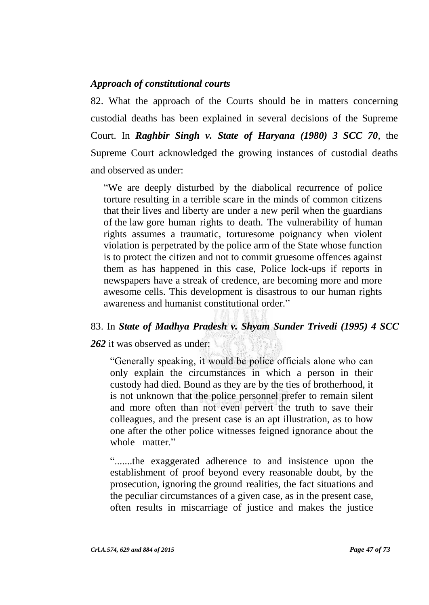# *Approach of constitutional courts*

82. What the approach of the Courts should be in matters concerning custodial deaths has been explained in several decisions of the Supreme Court. In *Raghbir Singh v. State of Haryana (1980) 3 SCC 70*, the Supreme Court acknowledged the growing instances of custodial deaths and observed as under:

"We are deeply disturbed by the diabolical recurrence of police torture resulting in a terrible scare in the minds of common citizens that their lives and liberty are under a new peril when the guardians of the law gore human rights to death. The vulnerability of human rights assumes a traumatic, torturesome poignancy when violent violation is perpetrated by the police arm of the State whose function is to protect the citizen and not to commit gruesome offences against them as has happened in this case, Police lock-ups if reports in newspapers have a streak of credence, are becoming more and more awesome cells. This development is disastrous to our human rights awareness and humanist constitutional order."

### 83. In *State of Madhya Pradesh v. Shyam Sunder Trivedi (1995) 4 SCC*

*262* it was observed as under:

"Generally speaking, it would be police officials alone who can only explain the circumstances in which a person in their custody had died. Bound as they are by the ties of brotherhood, it is not unknown that the police personnel prefer to remain silent and more often than not even pervert the truth to save their colleagues, and the present case is an apt illustration, as to how one after the other police witnesses feigned ignorance about the whole matter."

".......the exaggerated adherence to and insistence upon the establishment of proof beyond every reasonable doubt, by the prosecution, ignoring the ground realities, the fact situations and the peculiar circumstances of a given case, as in the present case, often results in miscarriage of justice and makes the justice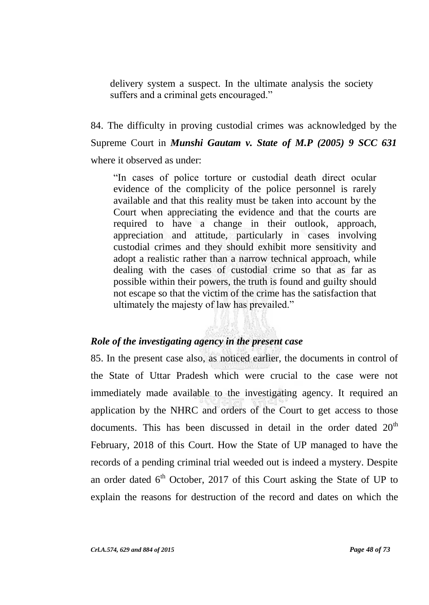delivery system a suspect. In the ultimate analysis the society suffers and a criminal gets encouraged."

84. The difficulty in proving custodial crimes was acknowledged by the Supreme Court in *Munshi Gautam v. State of M.P (2005) 9 SCC 631* where it observed as under:

"In cases of police torture or custodial death direct ocular evidence of the complicity of the police personnel is rarely available and that this reality must be taken into account by the Court when appreciating the evidence and that the courts are required to have a change in their outlook, approach, appreciation and attitude, particularly in cases involving custodial crimes and they should exhibit more sensitivity and adopt a realistic rather than a narrow technical approach, while dealing with the cases of custodial crime so that as far as possible within their powers, the truth is found and guilty should not escape so that the victim of the crime has the satisfaction that ultimately the majesty of law has prevailed."

### *Role of the investigating agency in the present case*

85. In the present case also, as noticed earlier, the documents in control of the State of Uttar Pradesh which were crucial to the case were not immediately made available to the investigating agency. It required an application by the NHRC and orders of the Court to get access to those documents. This has been discussed in detail in the order dated  $20<sup>th</sup>$ February, 2018 of this Court. How the State of UP managed to have the records of a pending criminal trial weeded out is indeed a mystery. Despite an order dated  $6<sup>th</sup>$  October, 2017 of this Court asking the State of UP to explain the reasons for destruction of the record and dates on which the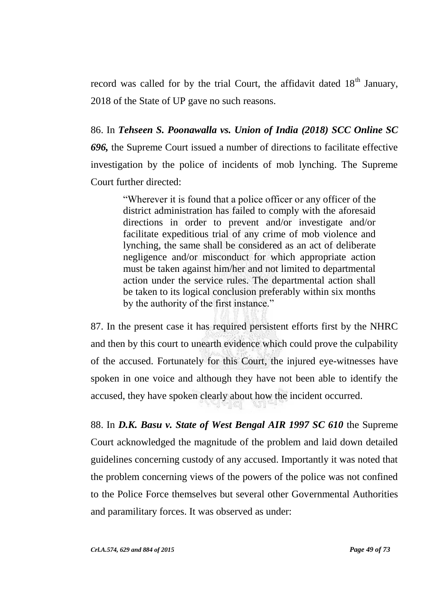record was called for by the trial Court, the affidavit dated  $18<sup>th</sup>$  January, 2018 of the State of UP gave no such reasons.

86. In *Tehseen S. Poonawalla vs. Union of India (2018) SCC Online SC 696,* the Supreme Court issued a number of directions to facilitate effective investigation by the police of incidents of mob lynching. The Supreme Court further directed:

> "Wherever it is found that a police officer or any officer of the district administration has failed to comply with the aforesaid directions in order to prevent and/or investigate and/or facilitate expeditious trial of any crime of mob violence and lynching, the same shall be considered as an act of deliberate negligence and/or misconduct for which appropriate action must be taken against him/her and not limited to departmental action under the service rules. The departmental action shall be taken to its logical conclusion preferably within six months by the authority of the first instance."

87. In the present case it has required persistent efforts first by the NHRC and then by this court to unearth evidence which could prove the culpability of the accused. Fortunately for this Court, the injured eye-witnesses have spoken in one voice and although they have not been able to identify the accused, they have spoken clearly about how the incident occurred.

88. In *D.K. Basu v. State of West Bengal AIR 1997 SC 610* the Supreme Court acknowledged the magnitude of the problem and laid down detailed guidelines concerning custody of any accused. Importantly it was noted that the problem concerning views of the powers of the police was not confined to the Police Force themselves but several other Governmental Authorities and paramilitary forces. It was observed as under: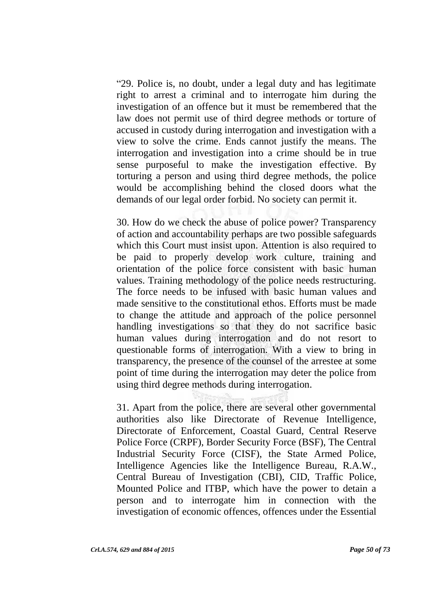"29. Police is, no doubt, under a legal duty and has legitimate right to arrest a criminal and to interrogate him during the investigation of an offence but it must be remembered that the law does not permit use of third degree methods or torture of accused in custody during interrogation and investigation with a view to solve the crime. Ends cannot justify the means. The interrogation and investigation into a crime should be in true sense purposeful to make the investigation effective. By torturing a person and using third degree methods, the police would be accomplishing behind the closed doors what the demands of our legal order forbid. No society can permit it.

30. How do we check the abuse of police power? Transparency of action and accountability perhaps are two possible safeguards which this Court must insist upon. Attention is also required to be paid to properly develop work culture, training and orientation of the police force consistent with basic human values. Training methodology of the police needs restructuring. The force needs to be infused with basic human values and made sensitive to the constitutional ethos. Efforts must be made to change the attitude and approach of the police personnel handling investigations so that they do not sacrifice basic human values during interrogation and do not resort to questionable forms of interrogation. With a view to bring in transparency, the presence of the counsel of the arrestee at some point of time during the interrogation may deter the police from using third degree methods during interrogation.

31. Apart from the police, there are several other governmental authorities also like Directorate of Revenue Intelligence, Directorate of Enforcement, Coastal Guard, Central Reserve Police Force (CRPF), Border Security Force (BSF), The Central Industrial Security Force (CISF), the State Armed Police, Intelligence Agencies like the Intelligence Bureau, R.A.W., Central Bureau of Investigation (CBI), CID, Traffic Police, Mounted Police and ITBP, which have the power to detain a person and to interrogate him in connection with the investigation of economic offences, offences under the Essential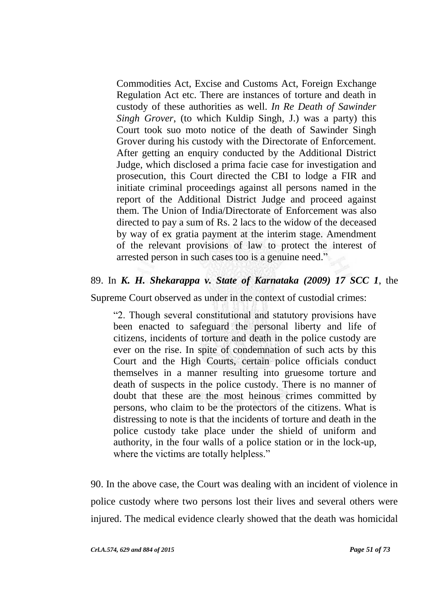Commodities Act, Excise and Customs Act, Foreign Exchange Regulation Act etc. There are instances of torture and death in custody of these authorities as well. *In Re Death of Sawinder Singh Grover*, (to which Kuldip Singh, J.) was a party) this Court took suo moto notice of the death of Sawinder Singh Grover during his custody with the Directorate of Enforcement. After getting an enquiry conducted by the Additional District Judge, which disclosed a prima facie case for investigation and prosecution, this Court directed the CBI to lodge a FIR and initiate criminal proceedings against all persons named in the report of the Additional District Judge and proceed against them. The Union of India/Directorate of Enforcement was also directed to pay a sum of Rs. 2 lacs to the widow of the deceased by way of ex gratia payment at the interim stage. Amendment of the relevant provisions of law to protect the interest of arrested person in such cases too is a genuine need."

# 89. In *K. H. Shekarappa v. State of Karnataka (2009) 17 SCC 1*, the

Supreme Court observed as under in the context of custodial crimes:

"2. Though several constitutional and statutory provisions have been enacted to safeguard the personal liberty and life of citizens, incidents of torture and death in the police custody are ever on the rise. In spite of condemnation of such acts by this Court and the High Courts, certain police officials conduct themselves in a manner resulting into gruesome torture and death of suspects in the police custody. There is no manner of doubt that these are the most heinous crimes committed by persons, who claim to be the protectors of the citizens. What is distressing to note is that the incidents of torture and death in the police custody take place under the shield of uniform and authority, in the four walls of a police station or in the lock-up, where the victims are totally helpless."

90. In the above case, the Court was dealing with an incident of violence in police custody where two persons lost their lives and several others were injured. The medical evidence clearly showed that the death was homicidal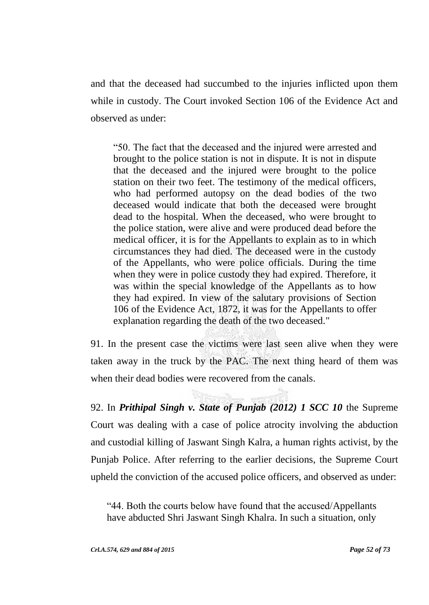and that the deceased had succumbed to the injuries inflicted upon them while in custody. The Court invoked Section 106 of the Evidence Act and observed as under:

"50. The fact that the deceased and the injured were arrested and brought to the police station is not in dispute. It is not in dispute that the deceased and the injured were brought to the police station on their two feet. The testimony of the medical officers, who had performed autopsy on the dead bodies of the two deceased would indicate that both the deceased were brought dead to the hospital. When the deceased, who were brought to the police station, were alive and were produced dead before the medical officer, it is for the Appellants to explain as to in which circumstances they had died. The deceased were in the custody of the Appellants, who were police officials. During the time when they were in police custody they had expired. Therefore, it was within the special knowledge of the Appellants as to how they had expired. In view of the salutary provisions of Section 106 of the Evidence Act, 1872, it was for the Appellants to offer explanation regarding the death of the two deceased."

91. In the present case the victims were last seen alive when they were taken away in the truck by the PAC. The next thing heard of them was when their dead bodies were recovered from the canals.

92. In *Prithipal Singh v. State of Punjab (2012) 1 SCC 10* the Supreme Court was dealing with a case of police atrocity involving the abduction and custodial killing of Jaswant Singh Kalra, a human rights activist, by the Punjab Police. After referring to the earlier decisions, the Supreme Court upheld the conviction of the accused police officers, and observed as under:

"44. Both the courts below have found that the accused/Appellants have abducted Shri Jaswant Singh Khalra. In such a situation, only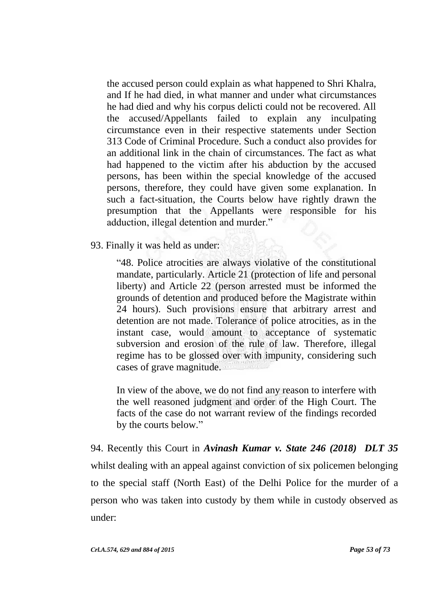the accused person could explain as what happened to Shri Khalra, and If he had died, in what manner and under what circumstances he had died and why his corpus delicti could not be recovered. All the accused/Appellants failed to explain any inculpating circumstance even in their respective statements under Section 313 Code of Criminal Procedure. Such a conduct also provides for an additional link in the chain of circumstances. The fact as what had happened to the victim after his abduction by the accused persons, has been within the special knowledge of the accused persons, therefore, they could have given some explanation. In such a fact-situation, the Courts below have rightly drawn the presumption that the Appellants were responsible for his adduction, illegal detention and murder."

93. Finally it was held as under:

"48. Police atrocities are always violative of the constitutional mandate, particularly. Article 21 (protection of life and personal liberty) and Article 22 (person arrested must be informed the grounds of detention and produced before the Magistrate within 24 hours). Such provisions ensure that arbitrary arrest and detention are not made. Tolerance of police atrocities, as in the instant case, would amount to acceptance of systematic subversion and erosion of the rule of law. Therefore, illegal regime has to be glossed over with impunity, considering such cases of grave magnitude.

In view of the above, we do not find any reason to interfere with the well reasoned judgment and order of the High Court. The facts of the case do not warrant review of the findings recorded by the courts below."

94. Recently this Court in *Avinash Kumar v. State 246 (2018) DLT 35* whilst dealing with an appeal against conviction of six policemen belonging to the special staff (North East) of the Delhi Police for the murder of a person who was taken into custody by them while in custody observed as under: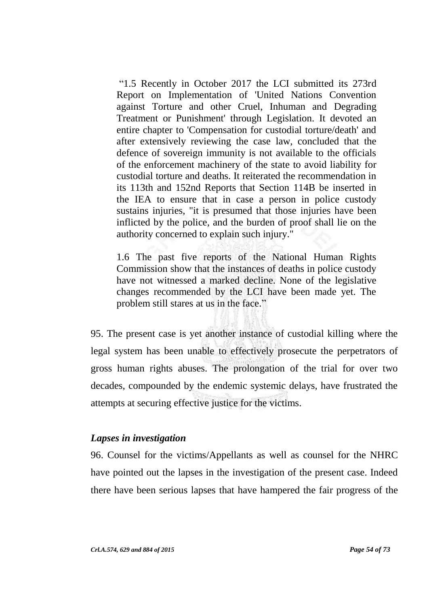"1.5 Recently in October 2017 the LCI submitted its 273rd Report on Implementation of 'United Nations Convention against Torture and other Cruel, Inhuman and Degrading Treatment or Punishment' through Legislation. It devoted an entire chapter to 'Compensation for custodial torture/death' and after extensively reviewing the case law, concluded that the defence of sovereign immunity is not available to the officials of the enforcement machinery of the state to avoid liability for custodial torture and deaths. It reiterated the recommendation in its 113th and 152nd Reports that Section 114B be inserted in the IEA to ensure that in case a person in police custody sustains injuries, "it is presumed that those injuries have been inflicted by the police, and the burden of proof shall lie on the authority concerned to explain such injury."

1.6 The past five reports of the National Human Rights Commission show that the instances of deaths in police custody have not witnessed a marked decline. None of the legislative changes recommended by the LCI have been made yet. The problem still stares at us in the face."

95. The present case is yet another instance of custodial killing where the legal system has been unable to effectively prosecute the perpetrators of gross human rights abuses. The prolongation of the trial for over two decades, compounded by the endemic systemic delays, have frustrated the attempts at securing effective justice for the victims.

### *Lapses in investigation*

96. Counsel for the victims/Appellants as well as counsel for the NHRC have pointed out the lapses in the investigation of the present case. Indeed there have been serious lapses that have hampered the fair progress of the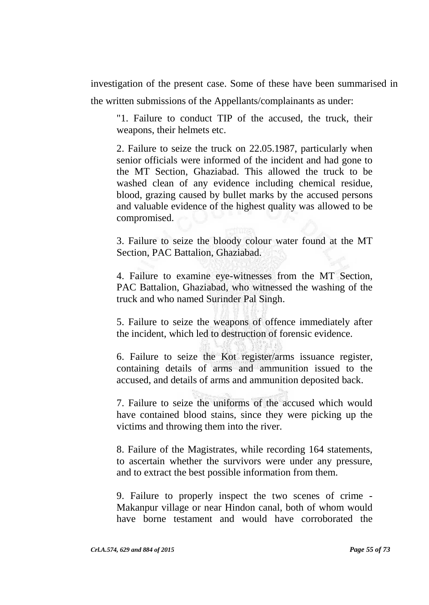investigation of the present case. Some of these have been summarised in the written submissions of the Appellants/complainants as under:

"1. Failure to conduct TIP of the accused, the truck, their weapons, their helmets etc.

2. Failure to seize the truck on 22.05.1987, particularly when senior officials were informed of the incident and had gone to the MT Section, Ghaziabad. This allowed the truck to be washed clean of any evidence including chemical residue, blood, grazing caused by bullet marks by the accused persons and valuable evidence of the highest quality was allowed to be compromised.

3. Failure to seize the bloody colour water found at the MT Section, PAC Battalion, Ghaziabad.

4. Failure to examine eye-witnesses from the MT Section, PAC Battalion, Ghaziabad, who witnessed the washing of the truck and who named Surinder Pal Singh.

5. Failure to seize the weapons of offence immediately after the incident, which led to destruction of forensic evidence.

6. Failure to seize the Kot register/arms issuance register, containing details of arms and ammunition issued to the accused, and details of arms and ammunition deposited back.

7. Failure to seize the uniforms of the accused which would have contained blood stains, since they were picking up the victims and throwing them into the river.

8. Failure of the Magistrates, while recording 164 statements, to ascertain whether the survivors were under any pressure, and to extract the best possible information from them.

9. Failure to properly inspect the two scenes of crime - Makanpur village or near Hindon canal, both of whom would have borne testament and would have corroborated the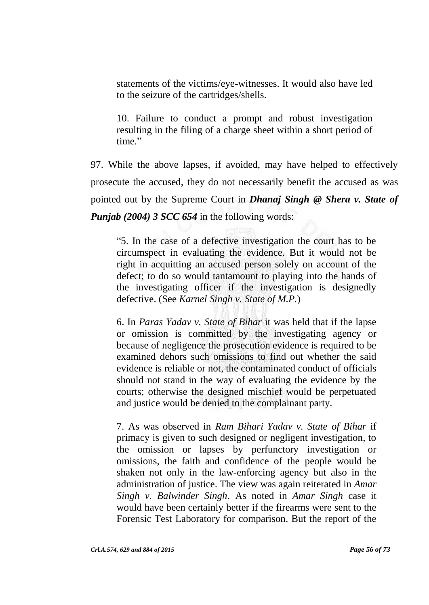statements of the victims/eye-witnesses. It would also have led to the seizure of the cartridges/shells.

10. Failure to conduct a prompt and robust investigation resulting in the filing of a charge sheet within a short period of time."

97. While the above lapses, if avoided, may have helped to effectively prosecute the accused, they do not necessarily benefit the accused as was pointed out by the Supreme Court in *Dhanaj Singh @ Shera v. State of Punjab (2004) 3 SCC 654* in the following words:

"5. In the case of a defective investigation the court has to be circumspect in evaluating the evidence. But it would not be right in acquitting an accused person solely on account of the defect; to do so would tantamount to playing into the hands of the investigating officer if the investigation is designedly defective. (See *Karnel Singh v. State of M.P.*)

6. In *Paras Yadav v. State of Bihar* it was held that if the lapse or omission is committed by the investigating agency or because of negligence the prosecution evidence is required to be examined dehors such omissions to find out whether the said evidence is reliable or not, the contaminated conduct of officials should not stand in the way of evaluating the evidence by the courts; otherwise the designed mischief would be perpetuated and justice would be denied to the complainant party.

7. As was observed in *Ram Bihari Yadav v. State of Bihar* if primacy is given to such designed or negligent investigation, to the omission or lapses by perfunctory investigation or omissions, the faith and confidence of the people would be shaken not only in the law-enforcing agency but also in the administration of justice. The view was again reiterated in *Amar Singh v. Balwinder Singh*. As noted in *Amar Singh* case it would have been certainly better if the firearms were sent to the Forensic Test Laboratory for comparison. But the report of the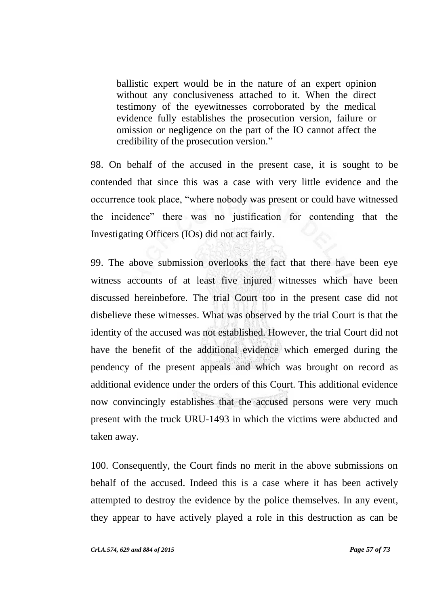ballistic expert would be in the nature of an expert opinion without any conclusiveness attached to it. When the direct testimony of the eyewitnesses corroborated by the medical evidence fully establishes the prosecution version, failure or omission or negligence on the part of the IO cannot affect the credibility of the prosecution version."

98. On behalf of the accused in the present case, it is sought to be contended that since this was a case with very little evidence and the occurrence took place, "where nobody was present or could have witnessed the incidence" there was no justification for contending that the Investigating Officers (IOs) did not act fairly.

99. The above submission overlooks the fact that there have been eye witness accounts of at least five injured witnesses which have been discussed hereinbefore. The trial Court too in the present case did not disbelieve these witnesses. What was observed by the trial Court is that the identity of the accused was not established. However, the trial Court did not have the benefit of the additional evidence which emerged during the pendency of the present appeals and which was brought on record as additional evidence under the orders of this Court. This additional evidence now convincingly establishes that the accused persons were very much present with the truck URU-1493 in which the victims were abducted and taken away.

100. Consequently, the Court finds no merit in the above submissions on behalf of the accused. Indeed this is a case where it has been actively attempted to destroy the evidence by the police themselves. In any event, they appear to have actively played a role in this destruction as can be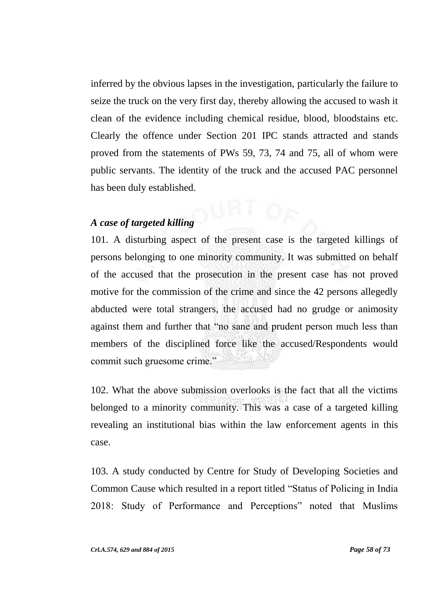inferred by the obvious lapses in the investigation, particularly the failure to seize the truck on the very first day, thereby allowing the accused to wash it clean of the evidence including chemical residue, blood, bloodstains etc. Clearly the offence under Section 201 IPC stands attracted and stands proved from the statements of PWs 59, 73, 74 and 75, all of whom were public servants. The identity of the truck and the accused PAC personnel has been duly established.

# *A case of targeted killing*

101. A disturbing aspect of the present case is the targeted killings of persons belonging to one minority community. It was submitted on behalf of the accused that the prosecution in the present case has not proved motive for the commission of the crime and since the 42 persons allegedly abducted were total strangers, the accused had no grudge or animosity against them and further that "no sane and prudent person much less than members of the disciplined force like the accused/Respondents would commit such gruesome crime."

102. What the above submission overlooks is the fact that all the victims belonged to a minority community. This was a case of a targeted killing revealing an institutional bias within the law enforcement agents in this case.

103. A study conducted by Centre for Study of Developing Societies and Common Cause which resulted in a report titled "Status of Policing in India 2018: Study of Performance and Perceptions" noted that Muslims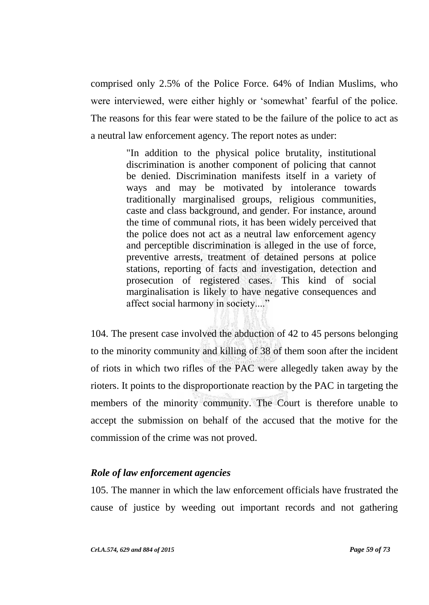comprised only 2.5% of the Police Force. 64% of Indian Muslims, who were interviewed, were either highly or 'somewhat' fearful of the police. The reasons for this fear were stated to be the failure of the police to act as a neutral law enforcement agency. The report notes as under:

> "In addition to the physical police brutality, institutional discrimination is another component of policing that cannot be denied. Discrimination manifests itself in a variety of ways and may be motivated by intolerance towards traditionally marginalised groups, religious communities, caste and class background, and gender. For instance, around the time of communal riots, it has been widely perceived that the police does not act as a neutral law enforcement agency and perceptible discrimination is alleged in the use of force, preventive arrests, treatment of detained persons at police stations, reporting of facts and investigation, detection and prosecution of registered cases. This kind of social marginalisation is likely to have negative consequences and affect social harmony in society...."

104. The present case involved the abduction of 42 to 45 persons belonging to the minority community and killing of 38 of them soon after the incident of riots in which two rifles of the PAC were allegedly taken away by the rioters. It points to the disproportionate reaction by the PAC in targeting the members of the minority community. The Court is therefore unable to accept the submission on behalf of the accused that the motive for the commission of the crime was not proved.

# *Role of law enforcement agencies*

105. The manner in which the law enforcement officials have frustrated the cause of justice by weeding out important records and not gathering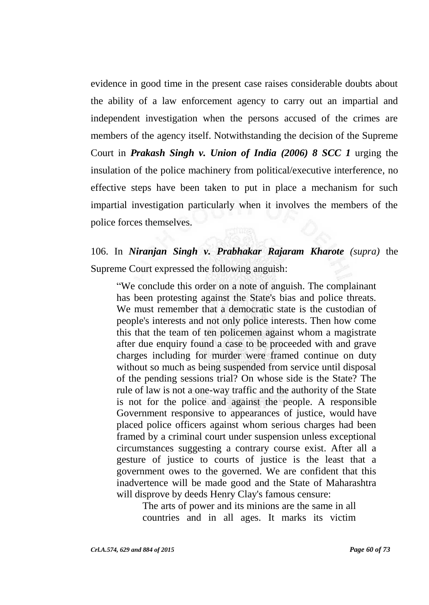evidence in good time in the present case raises considerable doubts about the ability of a law enforcement agency to carry out an impartial and independent investigation when the persons accused of the crimes are members of the agency itself. Notwithstanding the decision of the Supreme Court in *Prakash Singh v. Union of India (2006) 8 SCC 1* urging the insulation of the police machinery from political/executive interference, no effective steps have been taken to put in place a mechanism for such impartial investigation particularly when it involves the members of the police forces themselves.

# 106. In *Niranjan Singh v. Prabhakar Rajaram Kharote (supra)* the Supreme Court expressed the following anguish:

"We conclude this order on a note of anguish. The complainant has been protesting against the State's bias and police threats. We must remember that a democratic state is the custodian of people's interests and not only police interests. Then how come this that the team of ten policemen against whom a magistrate after due enquiry found a case to be proceeded with and grave charges including for murder were framed continue on duty without so much as being suspended from service until disposal of the pending sessions trial? On whose side is the State? The rule of law is not a one-way traffic and the authority of the State is not for the police and against the people. A responsible Government responsive to appearances of justice, would have placed police officers against whom serious charges had been framed by a criminal court under suspension unless exceptional circumstances suggesting a contrary course exist. After all a gesture of justice to courts of justice is the least that a government owes to the governed. We are confident that this inadvertence will be made good and the State of Maharashtra will disprove by deeds Henry Clay's famous censure:

The arts of power and its minions are the same in all countries and in all ages. It marks its victim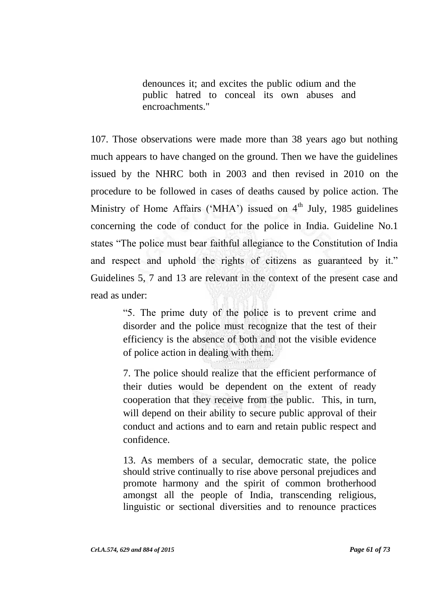denounces it; and excites the public odium and the public hatred to conceal its own abuses and encroachments."

107. Those observations were made more than 38 years ago but nothing much appears to have changed on the ground. Then we have the guidelines issued by the NHRC both in 2003 and then revised in 2010 on the procedure to be followed in cases of deaths caused by police action. The Ministry of Home Affairs ('MHA') issued on  $4<sup>th</sup>$  July, 1985 guidelines concerning the code of conduct for the police in India. Guideline No.1 states "The police must bear faithful allegiance to the Constitution of India and respect and uphold the rights of citizens as guaranteed by it." Guidelines 5, 7 and 13 are relevant in the context of the present case and read as under:

> "5. The prime duty of the police is to prevent crime and disorder and the police must recognize that the test of their efficiency is the absence of both and not the visible evidence of police action in dealing with them.

> 7. The police should realize that the efficient performance of their duties would be dependent on the extent of ready cooperation that they receive from the public. This, in turn, will depend on their ability to secure public approval of their conduct and actions and to earn and retain public respect and confidence.

> 13. As members of a secular, democratic state, the police should strive continually to rise above personal prejudices and promote harmony and the spirit of common brotherhood amongst all the people of India, transcending religious, linguistic or sectional diversities and to renounce practices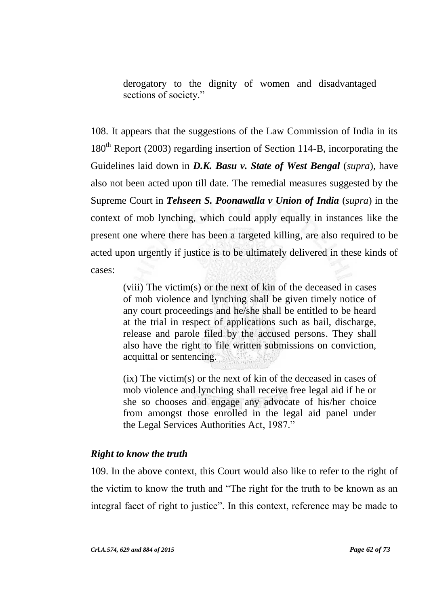derogatory to the dignity of women and disadvantaged sections of society."

108. It appears that the suggestions of the Law Commission of India in its 180<sup>th</sup> Report (2003) regarding insertion of Section 114-B, incorporating the Guidelines laid down in *D.K. Basu v. State of West Bengal* (*supra*), have also not been acted upon till date. The remedial measures suggested by the Supreme Court in *Tehseen S. Poonawalla v Union of India* (*supra*) in the context of mob lynching, which could apply equally in instances like the present one where there has been a targeted killing, are also required to be acted upon urgently if justice is to be ultimately delivered in these kinds of cases:

> (viii) The victim(s) or the next of kin of the deceased in cases of mob violence and lynching shall be given timely notice of any court proceedings and he/she shall be entitled to be heard at the trial in respect of applications such as bail, discharge, release and parole filed by the accused persons. They shall also have the right to file written submissions on conviction, acquittal or sentencing.

> (ix) The victim(s) or the next of kin of the deceased in cases of mob violence and lynching shall receive free legal aid if he or she so chooses and engage any advocate of his/her choice from amongst those enrolled in the legal aid panel under the Legal Services Authorities Act, 1987."

# *Right to know the truth*

109. In the above context, this Court would also like to refer to the right of the victim to know the truth and "The right for the truth to be known as an integral facet of right to justice". In this context, reference may be made to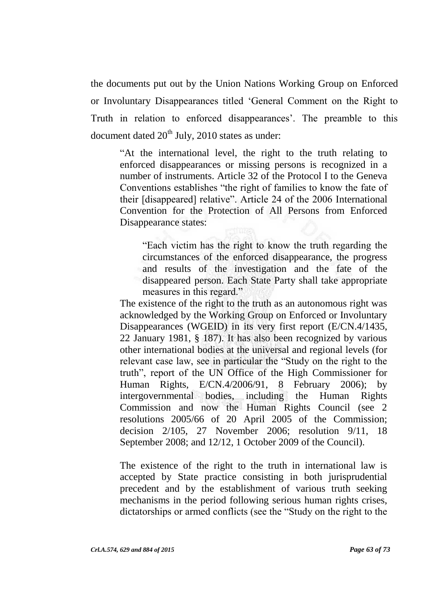the documents put out by the Union Nations Working Group on Enforced or Involuntary Disappearances titled "General Comment on the Right to Truth in relation to enforced disappearances'. The preamble to this document dated  $20<sup>th</sup>$  July, 2010 states as under:

"At the international level, the right to the truth relating to enforced disappearances or missing persons is recognized in a number of instruments. Article 32 of the Protocol I to the Geneva Conventions establishes "the right of families to know the fate of their [disappeared] relative". Article 24 of the 2006 International Convention for the Protection of All Persons from Enforced Disappearance states:

"Each victim has the right to know the truth regarding the circumstances of the enforced disappearance, the progress and results of the investigation and the fate of the disappeared person. Each State Party shall take appropriate measures in this regard."

The existence of the right to the truth as an autonomous right was acknowledged by the Working Group on Enforced or Involuntary Disappearances (WGEID) in its very first report (E/CN.4/1435, 22 January 1981, § 187). It has also been recognized by various other international bodies at the universal and regional levels (for relevant case law, see in particular the "Study on the right to the truth", report of the UN Office of the High Commissioner for Human Rights, E/CN.4/2006/91, 8 February 2006); by intergovernmental bodies, including the Human Rights Commission and now the Human Rights Council (see 2 resolutions 2005/66 of 20 April 2005 of the Commission; decision 2/105, 27 November 2006; resolution 9/11, 18 September 2008; and 12/12, 1 October 2009 of the Council).

The existence of the right to the truth in international law is accepted by State practice consisting in both jurisprudential precedent and by the establishment of various truth seeking mechanisms in the period following serious human rights crises, dictatorships or armed conflicts (see the "Study on the right to the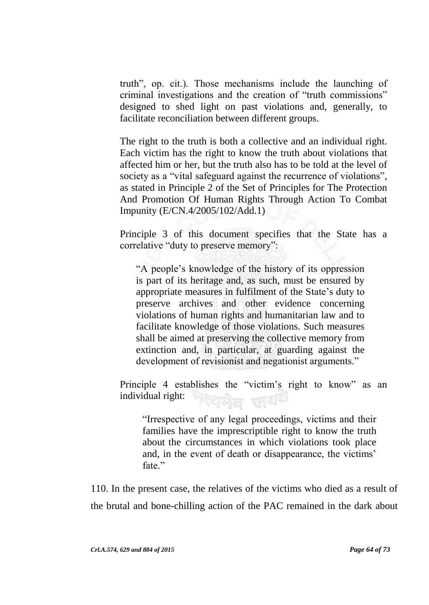truth", op. cit.). Those mechanisms include the launching of criminal investigations and the creation of "truth commissions" designed to shed light on past violations and, generally, to facilitate reconciliation between different groups.

The right to the truth is both a collective and an individual right. Each victim has the right to know the truth about violations that affected him or her, but the truth also has to be told at the level of society as a "vital safeguard against the recurrence of violations", as stated in Principle 2 of the Set of Principles for The Protection And Promotion Of Human Rights Through Action To Combat Impunity (E/CN.4/2005/102/Add.1)

Principle 3 of this document specifies that the State has a correlative "duty to preserve memory":

"A people"s knowledge of the history of its oppression is part of its heritage and, as such, must be ensured by appropriate measures in fulfilment of the State"s duty to preserve archives and other evidence concerning violations of human rights and humanitarian law and to facilitate knowledge of those violations. Such measures shall be aimed at preserving the collective memory from extinction and, in particular, at guarding against the development of revisionist and negationist arguments."

Principle 4 establishes the "victim"s right to know" as an individual right: দ্দ্বিল জয<sup>়ে</sup>

"Irrespective of any legal proceedings, victims and their families have the imprescriptible right to know the truth about the circumstances in which violations took place and, in the event of death or disappearance, the victims' fate."

110. In the present case, the relatives of the victims who died as a result of the brutal and bone-chilling action of the PAC remained in the dark about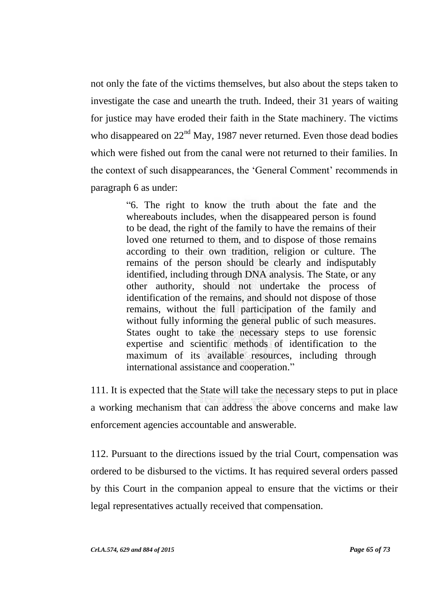not only the fate of the victims themselves, but also about the steps taken to investigate the case and unearth the truth. Indeed, their 31 years of waiting for justice may have eroded their faith in the State machinery. The victims who disappeared on  $22<sup>nd</sup>$  May, 1987 never returned. Even those dead bodies which were fished out from the canal were not returned to their families. In the context of such disappearances, the 'General Comment' recommends in paragraph 6 as under:

> "6. The right to know the truth about the fate and the whereabouts includes, when the disappeared person is found to be dead, the right of the family to have the remains of their loved one returned to them, and to dispose of those remains according to their own tradition, religion or culture. The remains of the person should be clearly and indisputably identified, including through DNA analysis. The State, or any other authority, should not undertake the process of identification of the remains, and should not dispose of those remains, without the full participation of the family and without fully informing the general public of such measures. States ought to take the necessary steps to use forensic expertise and scientific methods of identification to the maximum of its available resources, including through international assistance and cooperation."

111. It is expected that the State will take the necessary steps to put in place a working mechanism that can address the above concerns and make law enforcement agencies accountable and answerable.

112. Pursuant to the directions issued by the trial Court, compensation was ordered to be disbursed to the victims. It has required several orders passed by this Court in the companion appeal to ensure that the victims or their legal representatives actually received that compensation.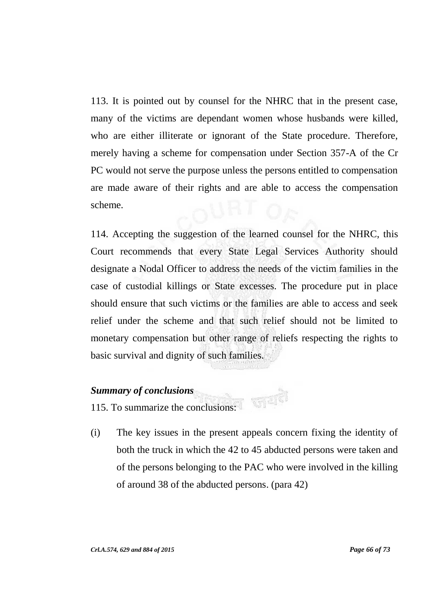113. It is pointed out by counsel for the NHRC that in the present case, many of the victims are dependant women whose husbands were killed, who are either illiterate or ignorant of the State procedure. Therefore, merely having a scheme for compensation under Section 357-A of the Cr PC would not serve the purpose unless the persons entitled to compensation are made aware of their rights and are able to access the compensation scheme.

114. Accepting the suggestion of the learned counsel for the NHRC, this Court recommends that every State Legal Services Authority should designate a Nodal Officer to address the needs of the victim families in the case of custodial killings or State excesses. The procedure put in place should ensure that such victims or the families are able to access and seek relief under the scheme and that such relief should not be limited to monetary compensation but other range of reliefs respecting the rights to basic survival and dignity of such families.

### *Summary of conclusions*

115. To summarize the conclusions:

(i) The key issues in the present appeals concern fixing the identity of both the truck in which the 42 to 45 abducted persons were taken and of the persons belonging to the PAC who were involved in the killing of around 38 of the abducted persons. (para 42)

动画家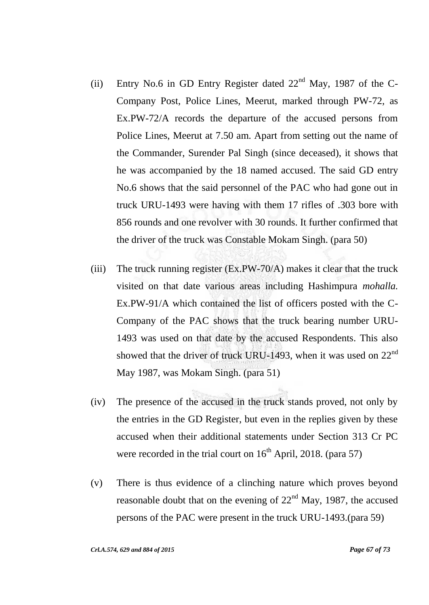- (ii) Entry No.6 in GD Entry Register dated  $22<sup>nd</sup>$  May, 1987 of the C-Company Post, Police Lines, Meerut, marked through PW-72, as Ex.PW-72/A records the departure of the accused persons from Police Lines, Meerut at 7.50 am. Apart from setting out the name of the Commander, Surender Pal Singh (since deceased), it shows that he was accompanied by the 18 named accused. The said GD entry No.6 shows that the said personnel of the PAC who had gone out in truck URU-1493 were having with them 17 rifles of .303 bore with 856 rounds and one revolver with 30 rounds. It further confirmed that the driver of the truck was Constable Mokam Singh. (para 50)
- (iii) The truck running register (Ex.PW-70/A) makes it clear that the truck visited on that date various areas including Hashimpura *mohalla.* Ex.PW-91/A which contained the list of officers posted with the C-Company of the PAC shows that the truck bearing number URU-1493 was used on that date by the accused Respondents. This also showed that the driver of truck URU-1493, when it was used on 22<sup>nd</sup> May 1987, was Mokam Singh. (para 51)
- (iv) The presence of the accused in the truck stands proved, not only by the entries in the GD Register, but even in the replies given by these accused when their additional statements under Section 313 Cr PC were recorded in the trial court on  $16<sup>th</sup>$  April, 2018. (para 57)
- (v) There is thus evidence of a clinching nature which proves beyond reasonable doubt that on the evening of  $22<sup>nd</sup>$  May, 1987, the accused persons of the PAC were present in the truck URU-1493.(para 59)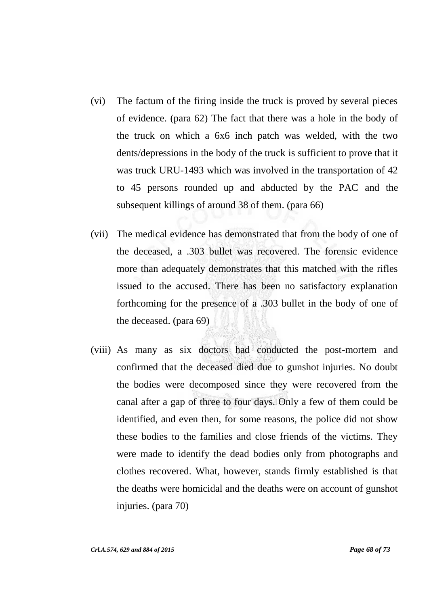- (vi) The factum of the firing inside the truck is proved by several pieces of evidence. (para 62) The fact that there was a hole in the body of the truck on which a 6x6 inch patch was welded, with the two dents/depressions in the body of the truck is sufficient to prove that it was truck URU-1493 which was involved in the transportation of 42 to 45 persons rounded up and abducted by the PAC and the subsequent killings of around 38 of them. (para 66)
- (vii) The medical evidence has demonstrated that from the body of one of the deceased, a .303 bullet was recovered. The forensic evidence more than adequately demonstrates that this matched with the rifles issued to the accused. There has been no satisfactory explanation forthcoming for the presence of a .303 bullet in the body of one of the deceased. (para 69)
- (viii) As many as six doctors had conducted the post-mortem and confirmed that the deceased died due to gunshot injuries. No doubt the bodies were decomposed since they were recovered from the canal after a gap of three to four days. Only a few of them could be identified, and even then, for some reasons, the police did not show these bodies to the families and close friends of the victims. They were made to identify the dead bodies only from photographs and clothes recovered. What, however, stands firmly established is that the deaths were homicidal and the deaths were on account of gunshot injuries. (para 70)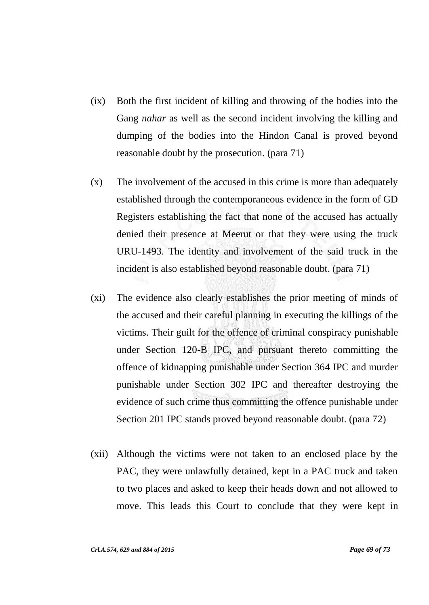- (ix) Both the first incident of killing and throwing of the bodies into the Gang *nahar* as well as the second incident involving the killing and dumping of the bodies into the Hindon Canal is proved beyond reasonable doubt by the prosecution. (para 71)
- (x) The involvement of the accused in this crime is more than adequately established through the contemporaneous evidence in the form of GD Registers establishing the fact that none of the accused has actually denied their presence at Meerut or that they were using the truck URU-1493. The identity and involvement of the said truck in the incident is also established beyond reasonable doubt. (para 71)
- (xi) The evidence also clearly establishes the prior meeting of minds of the accused and their careful planning in executing the killings of the victims. Their guilt for the offence of criminal conspiracy punishable under Section 120-B IPC, and pursuant thereto committing the offence of kidnapping punishable under Section 364 IPC and murder punishable under Section 302 IPC and thereafter destroying the evidence of such crime thus committing the offence punishable under Section 201 IPC stands proved beyond reasonable doubt. (para 72)
- (xii) Although the victims were not taken to an enclosed place by the PAC, they were unlawfully detained, kept in a PAC truck and taken to two places and asked to keep their heads down and not allowed to move. This leads this Court to conclude that they were kept in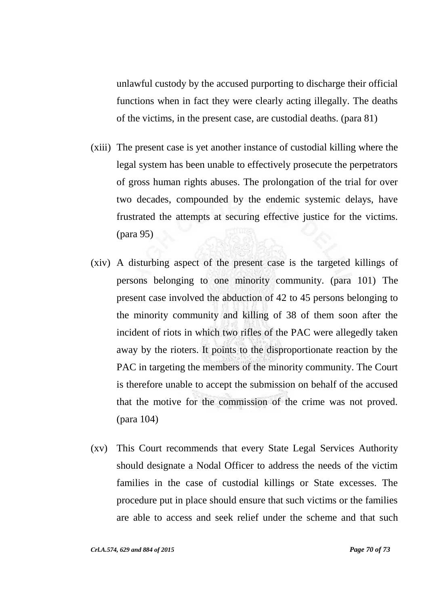unlawful custody by the accused purporting to discharge their official functions when in fact they were clearly acting illegally. The deaths of the victims, in the present case, are custodial deaths. (para 81)

- (xiii) The present case is yet another instance of custodial killing where the legal system has been unable to effectively prosecute the perpetrators of gross human rights abuses. The prolongation of the trial for over two decades, compounded by the endemic systemic delays, have frustrated the attempts at securing effective justice for the victims. (para 95)
- (xiv) A disturbing aspect of the present case is the targeted killings of persons belonging to one minority community. (para 101) The present case involved the abduction of 42 to 45 persons belonging to the minority community and killing of 38 of them soon after the incident of riots in which two rifles of the PAC were allegedly taken away by the rioters. It points to the disproportionate reaction by the PAC in targeting the members of the minority community. The Court is therefore unable to accept the submission on behalf of the accused that the motive for the commission of the crime was not proved. (para 104)
- (xv) This Court recommends that every State Legal Services Authority should designate a Nodal Officer to address the needs of the victim families in the case of custodial killings or State excesses. The procedure put in place should ensure that such victims or the families are able to access and seek relief under the scheme and that such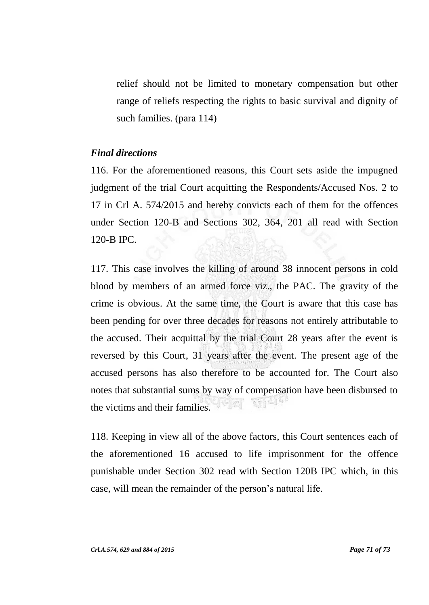relief should not be limited to monetary compensation but other range of reliefs respecting the rights to basic survival and dignity of such families. (para 114)

#### *Final directions*

116. For the aforementioned reasons, this Court sets aside the impugned judgment of the trial Court acquitting the Respondents/Accused Nos. 2 to 17 in Crl A. 574/2015 and hereby convicts each of them for the offences under Section 120-B and Sections 302, 364, 201 all read with Section 120-B IPC.

117. This case involves the killing of around 38 innocent persons in cold blood by members of an armed force viz., the PAC. The gravity of the crime is obvious. At the same time, the Court is aware that this case has been pending for over three decades for reasons not entirely attributable to the accused. Their acquittal by the trial Court 28 years after the event is reversed by this Court, 31 years after the event. The present age of the accused persons has also therefore to be accounted for. The Court also notes that substantial sums by way of compensation have been disbursed to  $\leq \vert \mathcal{L} \vert$ the victims and their families.

118. Keeping in view all of the above factors, this Court sentences each of the aforementioned 16 accused to life imprisonment for the offence punishable under Section 302 read with Section 120B IPC which, in this case, will mean the remainder of the person"s natural life.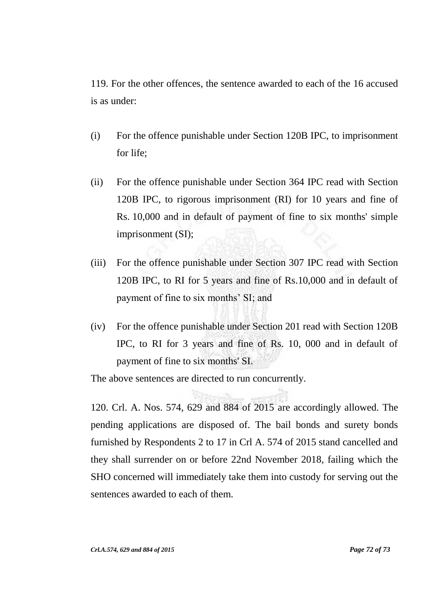119. For the other offences, the sentence awarded to each of the 16 accused is as under:

- (i) For the offence punishable under Section 120B IPC, to imprisonment for life;
- (ii) For the offence punishable under Section 364 IPC read with Section 120B IPC, to rigorous imprisonment (RI) for 10 years and fine of Rs. 10,000 and in default of payment of fine to six months' simple imprisonment (SI);
- (iii) For the offence punishable under Section 307 IPC read with Section 120B IPC, to RI for 5 years and fine of Rs.10,000 and in default of payment of fine to six months' SI; and
- (iv) For the offence punishable under Section 201 read with Section 120B IPC, to RI for 3 years and fine of Rs. 10, 000 and in default of payment of fine to six months' SI.

The above sentences are directed to run concurrently.

120. Crl. A. Nos. 574, 629 and 884 of 2015 are accordingly allowed. The pending applications are disposed of. The bail bonds and surety bonds furnished by Respondents 2 to 17 in Crl A. 574 of 2015 stand cancelled and they shall surrender on or before 22nd November 2018, failing which the SHO concerned will immediately take them into custody for serving out the sentences awarded to each of them.